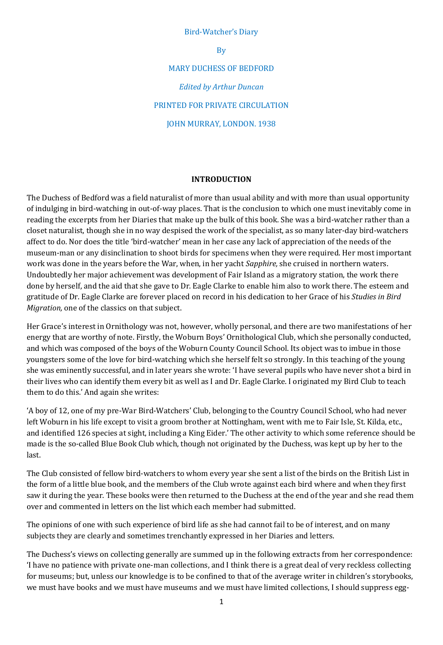#### Bird-Watcher's Diary

By

MARY DUCHESS OF BEDFORD *Edited by Arthur Duncan* PRINTED FOR PRIVATE CIRCULATION JOHN MURRAY, LONDON. 1938

#### **INTRODUCTION**

The Duchess of Bedford was a field naturalist of more than usual ability and with more than usual opportunity of indulging in bird-watching in out-of-way places. That is the conclusion to which one must inevitably come in reading the excerpts from her Diaries that make up the bulk of this book. She was a bird-watcher rather than a closet naturalist, though she in no way despised the work of the specialist, as so many later-day bird-watchers affect to do. Nor does the title 'bird-watcher' mean in her case any lack of appreciation of the needs of the museum-man or any disinclination to shoot birds for specimens when they were required. Her most important work was done in the years before the War, when, in her yacht *Sapphire,* she cruised in northern waters. Undoubtedly her major achievement was development of Fair Island as a migratory station, the work there done by herself, and the aid that she gave to Dr. Eagle Clarke to enable him also to work there. The esteem and gratitude of Dr. Eagle Clarke are forever placed on record in his dedication to her Grace of his *Studies in Bird Migration,* one of the classics on that subject.

Her Grace's interest in Ornithology was not, however, wholly personal, and there are two manifestations of her energy that are worthy of note. Firstly, the Woburn Boys' Ornithological Club, which she personally conducted, and which was composed of the boys of the Woburn County Council School. Its object was to imbue in those youngsters some of the love for bird-watching which she herself felt so strongly. In this teaching of the young she was eminently successful, and in later years she wrote: 'I have several pupils who have never shot a bird in their lives who can identify them every bit as well as I and Dr. Eagle Clarke. I originated my Bird Club to teach them to do this.' And again she writes:

'A boy of 12, one of my pre-War Bird-Watchers' Club, belonging to the Country Council School, who had never left Woburn in his life except to visit a groom brother at Nottingham, went with me to Fair Isle, St. Kilda, etc., and identified 126 species at sight, including a King Eider.' The other activity to which some reference should be made is the so-called Blue Book Club which, though not originated by the Duchess, was kept up by her to the last.

The Club consisted of fellow bird-watchers to whom every year she sent a list of the birds on the British List in the form of a little blue book, and the members of the Club wrote against each bird where and when they first saw it during the year. These books were then returned to the Duchess at the end of the year and she read them over and commented in letters on the list which each member had submitted.

The opinions of one with such experience of bird life as she had cannot fail to be of interest, and on many subjects they are clearly and sometimes trenchantly expressed in her Diaries and letters.

The Duchess's views on collecting generally are summed up in the following extracts from her correspondence: 'I have no patience with private one-man collections, and I think there is a great deal of very reckless collecting for museums; but, unless our knowledge is to be confined to that of the average writer in children's storybooks, we must have books and we must have museums and we must have limited collections, I should suppress egg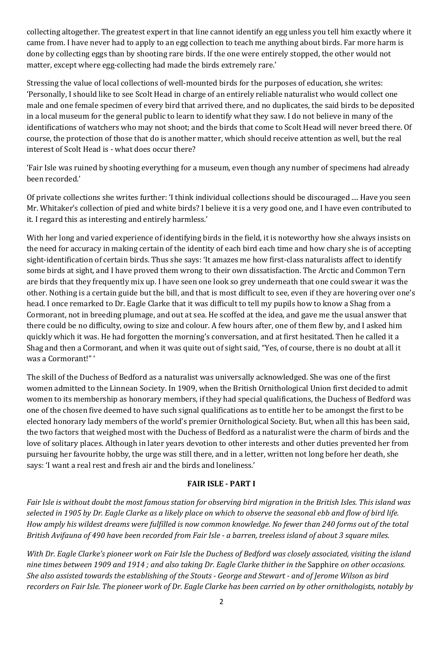collecting altogether. The greatest expert in that line cannot identify an egg unless you tell him exactly where it came from. I have never had to apply to an egg collection to teach me anything about birds. Far more harm is done by collecting eggs than by shooting rare birds. If the one were entirely stopped, the other would not matter, except where egg-collecting had made the birds extremely rare.'

Stressing the value of local collections of well-mounted birds for the purposes of education, she writes: 'Personally, I should like to see Scolt Head in charge of an entirely reliable naturalist who would collect one male and one female specimen of every bird that arrived there, and no duplicates, the said birds to be deposited in a local museum for the general public to learn to identify what they saw. I do not believe in many of the identifications of watchers who may not shoot; and the birds that come to Scolt Head will never breed there. Of course, the protection of those that do is another matter, which should receive attention as well, but the real interest of Scolt Head is - what does occur there?

'Fair Isle was ruined by shooting everything for a museum, even though any number of specimens had already been recorded.'

Of private collections she writes further: 'I think individual collections should be discouraged .... Have you seen Mr. Whitaker's collection of pied and white birds? I believe it is a very good one, and I have even contributed to it. I regard this as interesting and entirely harmless.'

With her long and varied experience of identifying birds in the field, it is noteworthy how she always insists on the need for accuracy in making certain of the identity of each bird each time and how chary she is of accepting sight-identification of certain birds. Thus she says: 'It amazes me how first-class naturalists affect to identify some birds at sight, and I have proved them wrong to their own dissatisfaction. The Arctic and Common Tern are birds that they frequently mix up. I have seen one look so grey underneath that one could swear it was the other. Nothing is a certain guide but the bill, and that is most difficult to see, even if they are hovering over one's head. I once remarked to Dr. Eagle Clarke that it was difficult to tell my pupils how to know a Shag from a Cormorant, not in breeding plumage, and out at sea. He scoffed at the idea, and gave me the usual answer that there could be no difficulty, owing to size and colour. A few hours after, one of them flew by, and I asked him quickly which it was. He had forgotten the morning's conversation, and at first hesitated. Then he called it a Shag and then a Cormorant, and when it was quite out of sight said, "Yes, of course, there is no doubt at all it was a Cormorant!" '

The skill of the Duchess of Bedford as a naturalist was universally acknowledged. She was one of the first women admitted to the Linnean Society. In 1909, when the British Ornithological Union first decided to admit women to its membership as honorary members, if they had special qualifications, the Duchess of Bedford was one of the chosen five deemed to have such signal qualifications as to entitle her to be amongst the first to be elected honorary lady members of the world's premier Ornithological Society. But, when all this has been said, the two factors that weighed most with the Duchess of Bedford as a naturalist were the charm of birds and the love of solitary places. Although in later years devotion to other interests and other duties prevented her from pursuing her favourite hobby, the urge was still there, and in a letter, written not long before her death, she says: 'I want a real rest and fresh air and the birds and loneliness.'

## **FAIR ISLE - PART I**

*Fair Isle is without doubt the most famous station for observing bird migration in the British Isles. This island was selected in 1905 by Dr. Eagle Clarke as a likely place on which to observe the seasonal ebb and flow of bird life. How amply his wildest dreams were fulfilled is now common knowledge. No fewer than 240 forms out of the total British Avifauna of 490 have been recorded from Fair Isle - a barren, treeless island of about 3 square miles.* 

*With Dr. Eagle Clarke's pioneer work on Fair Isle the Duchess of Bedford was closely associated, visiting the island nine times between 1909 and 1914 ; and also taking Dr. Eagle Clarke thither in the* Sapphire *on other occasions. She also assisted towards the establishing of the Stouts - George and Stewart - and of Jerome Wilson as bird recorders on Fair Isle. The pioneer work of Dr. Eagle Clarke has been carried on by other ornithologists, notably by*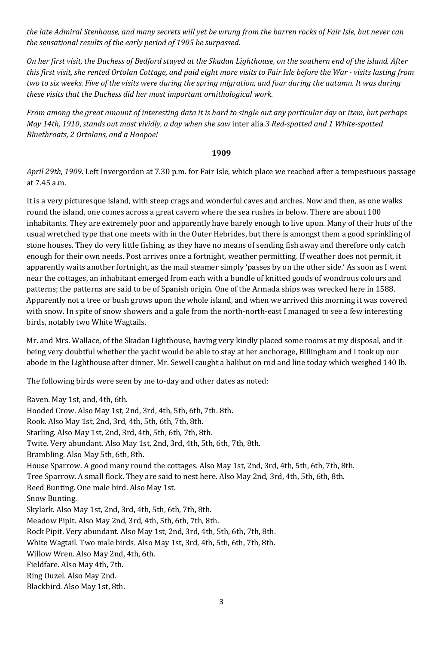*the late Admiral Stenhouse, and many secrets will yet be wrung from the barren rocks of Fair Isle, but never can the sensational results of the early period of 1905 be surpassed.* 

*On her first visit, the Duchess of Bedford stayed at the Skadan Lighthouse, on the southern end of the island. After this first visit, she rented Ortolan Cottage, and paid eight more visits to Fair Isle before the War - visits lasting from two to six weeks. Five of the visits were during the spring migration, and four during the autumn. It was during these visits that the Duchess did her most important ornithological work.* 

*From among the great amount of interesting data it is hard to single out any particular day* or *item, but perhaps May 14th, 1910*, *stands out most vividly, a day when she saw* inter alia *3 Red-spotted and 1 White-spotted Bluethroats, 2 Ortolans, and a Hoopoe!* 

#### **1909**

*April 29th, 1909*. Left Invergordon at 7.30 p.m. for Fair Isle, which place we reached after a tempestuous passage at 7.45 a.m.

It is a very picturesque island, with steep crags and wonderful caves and arches. Now and then, as one walks round the island, one comes across a great cavern where the sea rushes in below. There are about 100 inhabitants. They are extremely poor and apparently have barely enough to live upon. Many of their huts of the usual wretched type that one meets with in the Outer Hebrides, but there is amongst them a good sprinkling of stone houses. They do very little fishing, as they have no means of sending fish away and therefore only catch enough for their own needs. Post arrives once a fortnight, weather permitting. If weather does not permit, it apparently waits another fortnight, as the mail steamer simply 'passes by on the other side.' As soon as I went near the cottages, an inhabitant emerged from each with a bundle of knitted goods of wondrous colours and patterns; the patterns are said to be of Spanish origin. One of the Armada ships was wrecked here in 1588. Apparently not a tree or bush grows upon the whole island, and when we arrived this morning it was covered with snow. In spite of snow showers and a gale from the north-north-east I managed to see a few interesting birds, notably two White Wagtails.

Mr. and Mrs. Wallace, of the Skadan Lighthouse, having very kindly placed some rooms at my disposal, and it being very doubtful whether the yacht would be able to stay at her anchorage, Billingham and I took up our abode in the Lighthouse after dinner. Mr. Sewell caught a halibut on rod and line today which weighed 140 lb.

The following birds were seen by me to-day and other dates as noted:

Raven. May 1st, and, 4th, 6th. Hooded Crow. Also May 1st, 2nd, 3rd, 4th, 5th, 6th, 7th. 8th. Rook. Also May 1st, 2nd, 3rd, 4th, 5th, 6th, 7th, 8th. Starling. Also May 1st, 2nd, 3rd, 4th, 5th, 6th, 7th, 8th. Twite. Very abundant. Also May 1st, 2nd, 3rd, 4th, 5th, 6th, 7th, 8th. Brambling. Also May 5th, 6th, 8th. House Sparrow. A good many round the cottages. Also May 1st, 2nd, 3rd, 4th, 5th, 6th, 7th, 8th. Tree Sparrow. A small flock. They are said to nest here. Also May 2nd, 3rd, 4th, 5th, 6th, 8th. Reed Bunting. One male bird. Also May 1st. Snow Bunting. Skylark. Also May 1st, 2nd, 3rd, 4th, 5th, 6th, 7th, 8th. Meadow Pipit. Also May 2nd, 3rd, 4th, 5th, 6th, 7th, 8th. Rock Pipit. Very abundant. Also May 1st, 2nd, 3rd, 4th, 5th, 6th, 7th, 8th. White Wagtail. Two male birds. Also May 1st, 3rd, 4th, 5th, 6th, 7th, 8th. Willow Wren. Also May 2nd, 4th, 6th. Fieldfare. Also May 4th, 7th. Ring Ouzel. Also May 2nd. Blackbird. Also May 1st, 8th.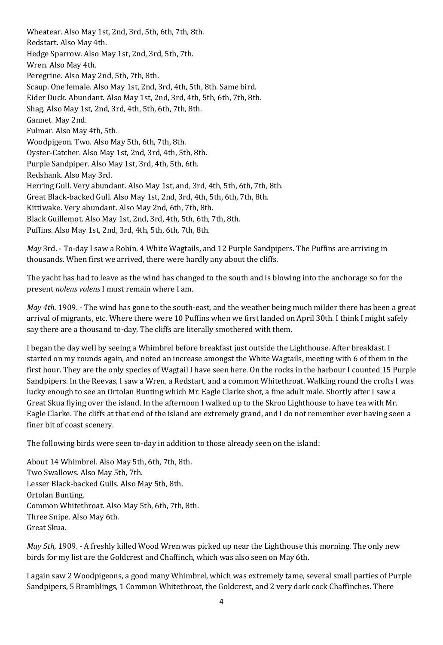Wheatear. Also May 1st, 2nd, 3rd, 5th, 6th, 7th, 8th. Redstart. Also May 4th. Hedge Sparrow. Also May 1st, 2nd, 3rd, 5th, 7th. Wren. Also May 4th. Peregrine. Also May 2nd, 5th, 7th, 8th. Scaup. One female. Also May 1st, 2nd, 3rd, 4th, 5th, 8th. Same bird. Eider Duck. Abundant. Also May 1st, 2nd, 3rd, 4th, 5th, 6th, 7th, 8th. Shag. Also May 1st, 2nd, 3rd, 4th, 5th, 6th, 7th, 8th. Gannet. May 2nd. Fulmar. Also May 4th, 5th. Woodpigeon. Two. Also May 5th, 6th, 7th, 8th. Oyster-Catcher. Also May 1st, 2nd, 3rd, 4th, 5th, 8th. Purple Sandpiper. Also May 1st, 3rd, 4th, 5th, 6th. Redshank. Also May 3rd. Herring Gull. Very abundant. Also May 1st, and, 3rd, 4th, 5th, 6th, 7th, 8th. Great Black-backed Gull. Also May 1st, 2nd, 3rd, 4th, 5th, 6th, 7th, 8th. Kittiwake. Very abundant. Also May 2nd, 6th, 7th, 8th. Black Guillemot. Also May 1st, 2nd, 3rd, 4th, 5th, 6th, 7th, 8th. Puffins. Also May 1st, 2nd, 3rd, 4th, 5th, 6th, 7th, 8th.

*May* 3rd. - To-day I saw a Robin. 4 White Wagtails, and 12 Purple Sandpipers. The Puffins are arriving in thousands. When first we arrived, there were hardly any about the cliffs.

The yacht has had to leave as the wind has changed to the south and is blowing into the anchorage so for the present *nolens volens* I must remain where I am.

*May 4th.* 1909. - The wind has gone to the south-east, and the weather being much milder there has been a great arrival of migrants, etc. Where there were 10 Puffins when we first landed on April 30th. I think I might safely say there are a thousand to-day. The cliffs are literally smothered with them.

I began the day well by seeing a Whimbrel before breakfast just outside the Lighthouse. After breakfast. I started on my rounds again, and noted an increase amongst the White Wagtails, meeting with 6 of them in the first hour. They are the only species of Wagtail I have seen here. On the rocks in the harbour I counted 15 Purple Sandpipers. In the Reevas, I saw a Wren, a Redstart, and a common Whitethroat. Walking round the crofts I was lucky enough to see an Ortolan Bunting which Mr. Eagle Clarke shot, a fine adult male. Shortly after I saw a Great Skua flying over the island. In the afternoon I walked up to the Skroo Lighthouse to have tea with Mr. Eagle Clarke. The cliffs at that end of the island are extremely grand, and I do not remember ever having seen a finer bit of coast scenery.

The following birds were seen to-day in addition to those already seen on the island:

About 14 Whimbrel. Also May 5th, 6th, 7th, 8th. Two Swallows. Also May 5th, 7th. Lesser Black-backed Gulls. Also May 5th, 8th. Ortolan Bunting. Common Whitethroat. Also May 5th, 6th, 7th, 8th. Three Snipe. Also May 6th. Great Skua.

*May 5th,* 1909. - A freshly killed Wood Wren was picked up near the Lighthouse this morning. The only new birds for my list are the Goldcrest and Chaffinch, which was also seen on May 6th.

I again saw 2 Woodpigeons, a good many Whimbrel, which was extremely tame, several small parties of Purple Sandpipers, 5 Bramblings, 1 Common Whitethroat, the Goldcrest, and 2 very dark cock Chaffinches. There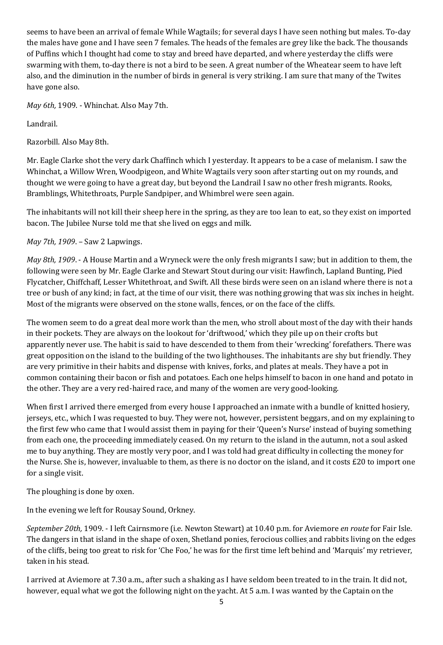seems to have been an arrival of female While Wagtails; for several days I have seen nothing but males. To-day the males have gone and I have seen 7 females. The heads of the females are grey like the back. The thousands of Puffins which I thought had come to stay and breed have departed, and where yesterday the cliffs were swarming with them, to-day there is not a bird to be seen. A great number of the Wheatear seem to have left also, and the diminution in the number of birds in general is very striking. I am sure that many of the Twites have gone also.

*May 6th,* 1909. - Whinchat. Also May 7th.

Landrail.

Razorbill. Also May 8th.

Mr. Eagle Clarke shot the very dark Chaffinch which I yesterday. It appears to be a case of melanism. I saw the Whinchat, a Willow Wren, Woodpigeon, and White Wagtails very soon after starting out on my rounds, and thought we were going to have a great day, but beyond the Landrail I saw no other fresh migrants. Rooks, Bramblings, Whitethroats, Purple Sandpiper, and Whimbrel were seen again.

The inhabitants will not kill their sheep here in the spring, as they are too lean to eat, so they exist on imported bacon. The Jubilee Nurse told me that she lived on eggs and milk.

# *May 7th, 1909*. – Saw 2 Lapwings.

*May 8th, 1909*. - A House Martin and a Wryneck were the only fresh migrants I saw; but in addition to them, the following were seen by Mr. Eagle Clarke and Stewart Stout during our visit: Hawfinch, Lapland Bunting, Pied Flycatcher, Chiffchaff, Lesser Whitethroat, and Swift. All these birds were seen on an island where there is not a tree or bush of any kind; in fact, at the time of our visit, there was nothing growing that was six inches in height. Most of the migrants were observed on the stone walls, fences, or on the face of the cliffs.

The women seem to do a great deal more work than the men, who stroll about most of the day with their hands in their pockets. They are always on the lookout for 'driftwood,' which they pile up on their crofts but apparently never use. The habit is said to have descended to them from their 'wrecking' forefathers. There was great opposition on the island to the building of the two lighthouses. The inhabitants are shy but friendly. They are very primitive in their habits and dispense with knives, forks, and plates at meals. They have a pot in common containing their bacon or fish and potatoes. Each one helps himself to bacon in one hand and potato in the other. They are a very red-haired race, and many of the women are very good-looking.

When first I arrived there emerged from every house I approached an inmate with a bundle of knitted hosiery, jerseys, etc., which I was requested to buy. They were not, however, persistent beggars, and on my explaining to the first few who came that I would assist them in paying for their 'Queen's Nurse' instead of buying something from each one, the proceeding immediately ceased. On my return to the island in the autumn, not a soul asked me to buy anything. They are mostly very poor, and I was told had great difficulty in collecting the money for the Nurse. She is, however, invaluable to them, as there is no doctor on the island, and it costs £20 to import one for a single visit.

The ploughing is done by oxen.

In the evening we left for Rousay Sound, Orkney.

*September 20th,* 1909. - I left Cairnsmore (i.e. Newton Stewart) at 10.40 p.m. for Aviemore *en route* for Fair Isle. The dangers in that island in the shape of oxen, Shetland ponies, ferocious collies, and rabbits living on the edges of the cliffs, being too great to risk for 'Che Foo,' he was for the first time left behind and 'Marquis' my retriever, taken in his stead.

I arrived at Aviemore at 7.30 a.m., after such a shaking as I have seldom been treated to in the train. It did not, however, equal what we got the following night on the yacht. At 5 a.m. I was wanted by the Captain on the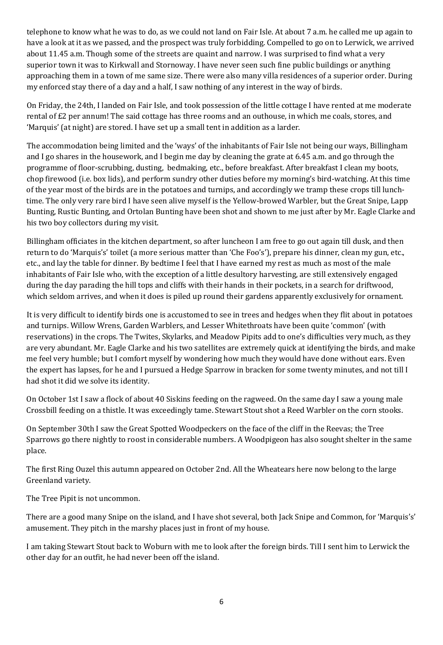telephone to know what he was to do, as we could not land on Fair Isle. At about 7 a.m. he called me up again to have a look at it as we passed, and the prospect was truly forbidding. Compelled to go on to Lerwick, we arrived about 11.45 a.m. Though some of the streets are quaint and narrow. I was surprised to find what a very superior town it was to Kirkwall and Stornoway. I have never seen such fine public buildings or anything approaching them in a town of me same size. There were also many villa residences of a superior order. During my enforced stay there of a day and a half, I saw nothing of any interest in the way of birds.

On Friday, the 24th, I landed on Fair Isle, and took possession of the little cottage I have rented at me moderate rental of £2 per annum! The said cottage has three rooms and an outhouse, in which me coals, stores, and 'Marquis' (at night) are stored. I have set up a small tent in addition as a larder.

The accommodation being limited and the 'ways' of the inhabitants of Fair Isle not being our ways, Billingham and I go shares in the housework, and I begin me day by cleaning the grate at 6.45 a.m. and go through the programme of floor-scrubbing, dusting, bedmaking, etc., before breakfast. After breakfast I clean my boots, chop firewood (i.e. box lids), and perform sundry other duties before my morning's bird-watching. At this time of the year most of the birds are in the potatoes and turnips, and accordingly we tramp these crops till lunchtime. The only very rare bird I have seen alive myself is the Yellow-browed Warbler, but the Great Snipe, Lapp Bunting, Rustic Bunting, and Ortolan Bunting have been shot and shown to me just after by Mr. Eagle Clarke and his two boy collectors during my visit.

Billingham officiates in the kitchen department, so after luncheon I am free to go out again till dusk, and then return to do 'Marquis's' toilet (a more serious matter than 'Che Foo's'), prepare his dinner, clean my gun, etc., etc., and lay the table for dinner. By bedtime I feel that I have earned my rest as much as most of the male inhabitants of Fair Isle who, with the exception of a little desultory harvesting, are still extensively engaged during the day parading the hill tops and cliffs with their hands in their pockets, in a search for driftwood, which seldom arrives, and when it does is piled up round their gardens apparently exclusively for ornament.

It is very difficult to identify birds one is accustomed to see in trees and hedges when they flit about in potatoes and turnips. Willow Wrens, Garden Warblers, and Lesser Whitethroats have been quite 'common' (with reservations) in the crops. The Twites, Skylarks, and Meadow Pipits add to one's difficulties very much, as they are very abundant. Mr. Eagle Clarke and his two satellites are extremely quick at identifying the birds, and make me feel very humble; but I comfort myself by wondering how much they would have done without ears. Even the expert has lapses, for he and I pursued a Hedge Sparrow in bracken for some twenty minutes, and not till I had shot it did we solve its identity.

On October 1st I saw a flock of about 40 Siskins feeding on the ragweed. On the same day I saw a young male Crossbill feeding on a thistle. It was exceedingly tame. Stewart Stout shot a Reed Warbler on the corn stooks.

On September 30th I saw the Great Spotted Woodpeckers on the face of the cliff in the Reevas; the Tree Sparrows go there nightly to roost in considerable numbers. A Woodpigeon has also sought shelter in the same place.

The first Ring Ouzel this autumn appeared on October 2nd. All the Wheatears here now belong to the large Greenland variety.

The Tree Pipit is not uncommon.

There are a good many Snipe on the island, and I have shot several, both Jack Snipe and Common, for 'Marquis's' amusement. They pitch in the marshy places just in front of my house.

I am taking Stewart Stout back to Woburn with me to look after the foreign birds. Till I sent him to Lerwick the other day for an outfit, he had never been off the island.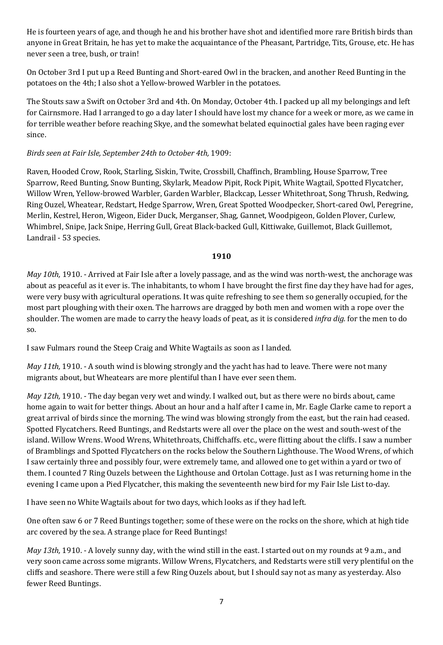He is fourteen years of age, and though he and his brother have shot and identified more rare British birds than anyone in Great Britain, he has yet to make the acquaintance of the Pheasant, Partridge, Tits, Grouse, etc. He has never seen a tree, bush, or train!

On October 3rd I put up a Reed Bunting and Short-eared Owl in the bracken, and another Reed Bunting in the potatoes on the 4th; I also shot a Yellow-browed Warbler in the potatoes.

The Stouts saw a Swift on October 3rd and 4th. On Monday, October 4th. I packed up all my belongings and left for Cairnsmore. Had I arranged to go a day later I should have lost my chance for a week or more, as we came in for terrible weather before reaching Skye, and the somewhat belated equinoctial gales have been raging ever since.

# *Birds seen at Fair Isle, September 24th to October 4th,* 1909:

Raven, Hooded Crow, Rook, Starling, Siskin, Twite, Crossbill, Chaffinch, Brambling, House Sparrow, Tree Sparrow, Reed Bunting, Snow Bunting, Skylark, Meadow Pipit, Rock Pipit, White Wagtail, Spotted Flycatcher, Willow Wren, Yellow-browed Warbler, Garden Warbler, Blackcap, Lesser Whitethroat, Song Thrush, Redwing, Ring Ouzel, Wheatear, Redstart, Hedge Sparrow, Wren, Great Spotted Woodpecker, Short-cared Owl, Peregrine, Merlin, Kestrel, Heron, Wigeon, Eider Duck, Merganser, Shag, Gannet, Woodpigeon, Golden Plover, Curlew, Whimbrel, Snipe, Jack Snipe, Herring Gull, Great Black-backed Gull, Kittiwake, Guillemot, Black Guillemot, Landrail - 53 species.

### **1910**

*May 10th,* 1910. - Arrived at Fair Isle after a lovely passage, and as the wind was north-west, the anchorage was about as peaceful as it ever is. The inhabitants, to whom I have brought the first fine day they have had for ages, were very busy with agricultural operations. It was quite refreshing to see them so generally occupied, for the most part ploughing with their oxen. The harrows are dragged by both men and women with a rope over the shoulder. The women are made to carry the heavy loads of peat, as it is considered *infra dig.* for the men to do so.

I saw Fulmars round the Steep Craig and White Wagtails as soon as I landed.

*May 11th,* 1910. - A south wind is blowing strongly and the yacht has had to leave. There were not many migrants about, but Wheatears are more plentiful than I have ever seen them.

*May 12th,* 1910. - The day began very wet and windy. I walked out, but as there were no birds about, came home again to wait for better things. About an hour and a half after I came in, Mr. Eagle Clarke came to report a great arrival of birds since the morning. The wind was blowing strongly from the east, but the rain had ceased. Spotted Flycatchers. Reed Buntings, and Redstarts were all over the place on the west and south-west of the island. Willow Wrens. Wood Wrens, Whitethroats, Chiffchaffs. etc., were flitting about the cliffs. I saw a number of Bramblings and Spotted Flycatchers on the rocks below the Southern Lighthouse. The Wood Wrens, of which I saw certainly three and possibly four, were extremely tame, and allowed one to get within a yard or two of them. I counted 7 Ring Ouzels between the Lighthouse and Ortolan Cottage. Just as I was returning home in the evening I came upon a Pied Flycatcher, this making the seventeenth new bird for my Fair Isle List to-day.

I have seen no White Wagtails about for two days, which looks as if they had left.

One often saw 6 or 7 Reed Buntings together; some of these were on the rocks on the shore, which at high tide arc covered by the sea. A strange place for Reed Buntings!

*May 13th,* 1910. - A lovely sunny day, with the wind still in the east. I started out on my rounds at 9 a.m., and very soon came across some migrants. Willow Wrens, Flycatchers, and Redstarts were still very plentiful on the cliffs and seashore. There were still a few Ring Ouzels about, but I should say not as many as yesterday. Also fewer Reed Buntings.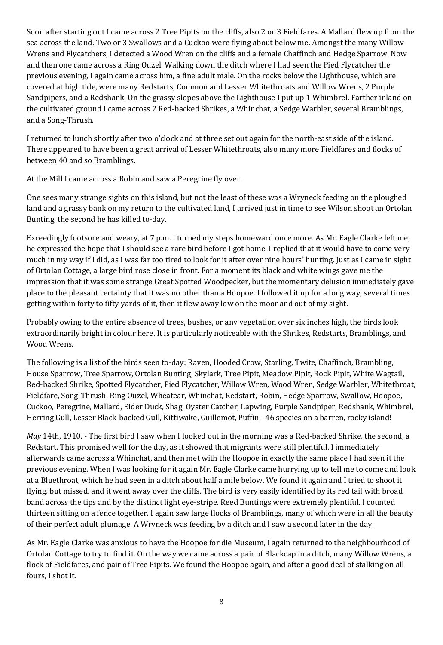Soon after starting out I came across 2 Tree Pipits on the cliffs, also 2 or 3 Fieldfares. A Mallard flew up from the sea across the land. Two or 3 Swallows and a Cuckoo were flying about below me. Amongst the many Willow Wrens and Flycatchers, I detected a Wood Wren on the cliffs and a female Chaffinch and Hedge Sparrow. Now and then one came across a Ring Ouzel. Walking down the ditch where I had seen the Pied Flycatcher the previous evening, I again came across him, a fine adult male. On the rocks below the Lighthouse, which are covered at high tide, were many Redstarts, Common and Lesser Whitethroats and Willow Wrens, 2 Purple Sandpipers, and a Redshank. On the grassy slopes above the Lighthouse I put up 1 Whimbrel. Farther inland on the cultivated ground I came across 2 Red-backed Shrikes, a Whinchat, a Sedge Warbler, several Bramblings, and a Song-Thrush.

I returned to lunch shortly after two o'clock and at three set out again for the north-east side of the island. There appeared to have been a great arrival of Lesser Whitethroats, also many more Fieldfares and flocks of between 40 and so Bramblings.

At the Mill I came across a Robin and saw a Peregrine fly over.

One sees many strange sights on this island, but not the least of these was a Wryneck feeding on the ploughed land and a grassy bank on my return to the cultivated land, I arrived just in time to see Wilson shoot an Ortolan Bunting, the second he has killed to-day.

Exceedingly footsore and weary, at 7 p.m. I turned my steps homeward once more. As Mr. Eagle Clarke left me, he expressed the hope that I should see a rare bird before I got home. I replied that it would have to come very much in my way if I did, as I was far too tired to look for it after over nine hours' hunting. Just as I came in sight of Ortolan Cottage, a large bird rose close in front. For a moment its black and white wings gave me the impression that it was some strange Great Spotted Woodpecker, but the momentary delusion immediately gave place to the pleasant certainty that it was no other than a Hoopoe. I followed it up for a long way, several times getting within forty to fifty yards of it, then it flew away low on the moor and out of my sight.

Probably owing to the entire absence of trees, bushes, or any vegetation over six inches high, the birds look extraordinarily bright in colour here. It is particularly noticeable with the Shrikes, Redstarts, Bramblings, and Wood Wrens.

The following is a list of the birds seen to-day: Raven, Hooded Crow, Starling, Twite, Chaffinch, Brambling, House Sparrow, Tree Sparrow, Ortolan Bunting, Skylark, Tree Pipit, Meadow Pipit, Rock Pipit, White Wagtail, Red-backed Shrike, Spotted Flycatcher, Pied Flycatcher, Willow Wren, Wood Wren, Sedge Warbler, Whitethroat, Fieldfare, Song-Thrush, Ring Ouzel, Wheatear, Whinchat, Redstart, Robin, Hedge Sparrow, Swallow, Hoopoe, Cuckoo, Peregrine, Mallard, Eider Duck, Shag, Oyster Catcher, Lapwing, Purple Sandpiper, Redshank, Whimbrel, Herring Gull, Lesser Black-backed Gull, Kittiwake, Guillemot, Puffin - 46 species on a barren, rocky island!

*May* 14th, 1910. - The first bird I saw when I looked out in the morning was a Red-backed Shrike, the second, a Redstart. This promised well for the day, as it showed that migrants were still plentiful. I immediately afterwards came across a Whinchat, and then met with the Hoopoe in exactly the same place I had seen it the previous evening. When I was looking for it again Mr. Eagle Clarke came hurrying up to tell me to come and look at a Bluethroat, which he had seen in a ditch about half a mile below. We found it again and I tried to shoot it flying, but missed, and it went away over the cliffs. The bird is very easily identified by its red tail with broad band across the tips and by the distinct light eye-stripe. Reed Buntings were extremely plentiful. I counted thirteen sitting on a fence together. I again saw large flocks of Bramblings, many of which were in all the beauty of their perfect adult plumage. A Wryneck was feeding by a ditch and I saw a second later in the day.

As Mr. Eagle Clarke was anxious to have the Hoopoe for die Museum, I again returned to the neighbourhood of Ortolan Cottage to try to find it. On the way we came across a pair of Blackcap in a ditch, many Willow Wrens, a flock of Fieldfares, and pair of Tree Pipits. We found the Hoopoe again, and after a good deal of stalking on all fours, I shot it.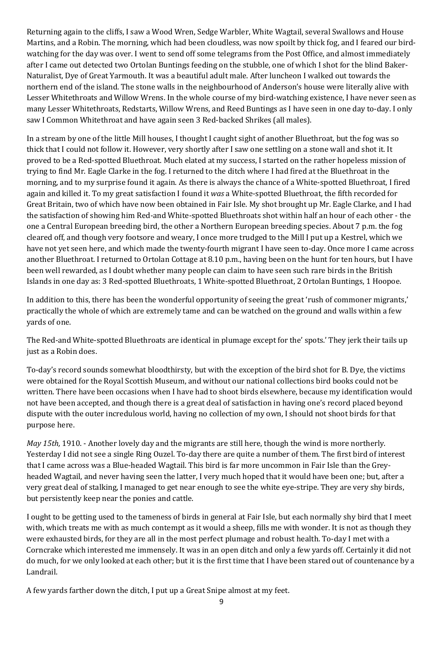Returning again to the cliffs, I saw a Wood Wren, Sedge Warbler, White Wagtail, several Swallows and House Martins, and a Robin. The morning, which had been cloudless, was now spoilt by thick fog, and I feared our birdwatching for the day was over. I went to send off some telegrams from the Post Office, and almost immediately after I came out detected two Ortolan Buntings feeding on the stubble, one of which I shot for the blind Baker-Naturalist, Dye of Great Yarmouth. It was a beautiful adult male. After luncheon I walked out towards the northern end of the island. The stone walls in the neighbourhood of Anderson's house were literally alive with Lesser Whitethroats and Willow Wrens. In the whole course of my bird-watching existence, I have never seen as many Lesser Whitethroats, Redstarts, Willow Wrens, and Reed Buntings as I have seen in one day to-day. I only saw I Common Whitethroat and have again seen 3 Red-backed Shrikes (all males).

In a stream by one of the little Mill houses, I thought I caught sight of another Bluethroat, but the fog was so thick that I could not follow it. However, very shortly after I saw one settling on a stone wall and shot it. It proved to be a Red-spotted Bluethroat. Much elated at my success, I started on the rather hopeless mission of trying to find Mr. Eagle Clarke in the fog. I returned to the ditch where I had fired at the Bluethroat in the morning, and to my surprise found it again. As there is always the chance of a White-spotted Bluethroat, I fired again and killed it. To my great satisfaction I found it *was* a White-spotted Bluethroat, the fifth recorded for Great Britain, two of which have now been obtained in Fair Isle. My shot brought up Mr. Eagle Clarke, and I had the satisfaction of showing him Red-and White-spotted Bluethroats shot within half an hour of each other - the one a Central European breeding bird, the other a Northern European breeding species. About 7 p.m. the fog cleared off, and though very footsore and weary, I once more trudged to the Mill I put up a Kestrel, which we have not yet seen here, and which made the twenty-fourth migrant I have seen to-day. Once more I came across another Bluethroat. I returned to Ortolan Cottage at 8.10 p.m., having been on the hunt for ten hours, but I have been well rewarded, as I doubt whether many people can claim to have seen such rare birds in the British Islands in one day as: 3 Red-spotted Bluethroats, 1 White-spotted Bluethroat, 2 Ortolan Buntings, 1 Hoopoe.

In addition to this, there has been the wonderful opportunity of seeing the great 'rush of commoner migrants,' practically the whole of which are extremely tame and can be watched on the ground and walls within a few yards of one.

The Red-and White-spotted Bluethroats are identical in plumage except for the' spots.' They jerk their tails up just as a Robin does.

To-day's record sounds somewhat bloodthirsty, but with the exception of the bird shot for B. Dye, the victims were obtained for the Royal Scottish Museum, and without our national collections bird books could not be written. There have been occasions when I have had to shoot birds elsewhere, because my identification would not have been accepted, and though there is a great deal of satisfaction in having one's record placed beyond dispute with the outer incredulous world, having no collection of my own, I should not shoot birds for that purpose here.

*May 15th,* 1910. - Another lovely day and the migrants are still here, though the wind is more northerly. Yesterday I did not see a single Ring Ouzel. To-day there are quite a number of them. The first bird of interest that I came across was a Blue-headed Wagtail. This bird is far more uncommon in Fair Isle than the Greyheaded Wagtail, and never having seen the latter, I very much hoped that it would have been one; but, after a very great deal of stalking, I managed to get near enough to see the white eye-stripe. They are very shy birds, but persistently keep near the ponies and cattle.

I ought to be getting used to the tameness of birds in general at Fair Isle, but each normally shy bird that I meet with, which treats me with as much contempt as it would a sheep, fills me with wonder. It is not as though they were exhausted birds, for they are all in the most perfect plumage and robust health. To-day I met with a Corncrake which interested me immensely. It was in an open ditch and only a few yards off. Certainly it did not do much, for we only looked at each other; but it is the first time that I have been stared out of countenance by a Landrail.

A few yards farther down the ditch, I put up a Great Snipe almost at my feet.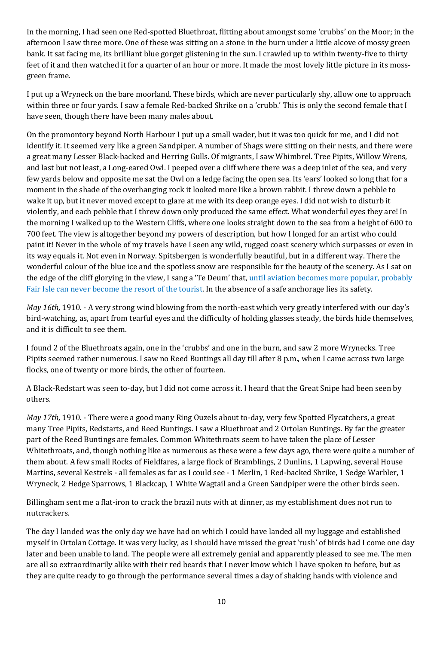In the morning, I had seen one Red-spotted Bluethroat, flitting about amongst some 'crubbs' on the Moor; in the afternoon I saw three more. One of these was sitting on a stone in the burn under a little alcove of mossy green bank. It sat facing me, its brilliant blue gorget glistening in the sun. I crawled up to within twenty-five to thirty feet of it and then watched it for a quarter of an hour or more. It made the most lovely little picture in its mossgreen frame.

I put up a Wryneck on the bare moorland. These birds, which are never particularly shy, allow one to approach within three or four yards. I saw a female Red-backed Shrike on a 'crubb.' This is only the second female that I have seen, though there have been many males about.

On the promontory beyond North Harbour I put up a small wader, but it was too quick for me, and I did not identify it. It seemed very like a green Sandpiper. A number of Shags were sitting on their nests, and there were a great many Lesser Black-backed and Herring Gulls. Of migrants, I saw Whimbrel. Tree Pipits, Willow Wrens, and last but not least, a Long-eared Owl. I peeped over a cliff where there was a deep inlet of the sea, and very few yards below and opposite me sat the Owl on a ledge facing the open sea. Its 'ears' looked so long that for a moment in the shade of the overhanging rock it looked more like a brown rabbit. I threw down a pebble to wake it up, but it never moved except to glare at me with its deep orange eyes. I did not wish to disturb it violently, and each pebble that I threw down only produced the same effect. What wonderful eyes they are! In the morning I walked up to the Western Cliffs, where one looks straight down to the sea from a height of 600 to 700 feet. The view is altogether beyond my powers of description, but how I longed for an artist who could paint it! Never in the whole of my travels have I seen any wild, rugged coast scenery which surpasses or even in its way equals it. Not even in Norway. Spitsbergen is wonderfully beautiful, but in a different way. There the wonderful colour of the blue ice and the spotless snow are responsible for the beauty of the scenery. As I sat on the edge of the cliff glorying in the view, I sang a 'Te Deum' that, until aviation becomes more popular, probably Fair Isle can never become the resort of the tourist. In the absence of a safe anchorage lies its safety.

*May 16th,* 1910. - A very strong wind blowing from the north-east which very greatly interfered with our day's bird-watching, as, apart from tearful eyes and the difficulty of holding glasses steady, the birds hide themselves, and it is difficult to see them.

I found 2 of the Bluethroats again, one in the 'crubbs' and one in the burn, and saw 2 more Wrynecks. Tree Pipits seemed rather numerous. I saw no Reed Buntings all day till after 8 p.m., when I came across two large flocks, one of twenty or more birds, the other of fourteen.

A Black-Redstart was seen to-day, but I did not come across it. I heard that the Great Snipe had been seen by others.

*May 17th,* 1910. - There were a good many Ring Ouzels about to-day, very few Spotted Flycatchers, a great many Tree Pipits, Redstarts, and Reed Buntings. I saw a Bluethroat and 2 Ortolan Buntings. By far the greater part of the Reed Buntings are females. Common Whitethroats seem to have taken the place of Lesser Whitethroats, and, though nothing like as numerous as these were a few days ago, there were quite a number of them about. A few small Rocks of Fieldfares, a large flock of Bramblings, 2 Dunlins, 1 Lapwing, several House Martins, several Kestrels - all females as far as I could see - 1 Merlin, 1 Red-backed Shrike, 1 Sedge Warbler, 1 Wryneck, 2 Hedge Sparrows, 1 Blackcap, 1 White Wagtail and a Green Sandpiper were the other birds seen.

Billingham sent me a flat-iron to crack the brazil nuts with at dinner, as my establishment does not run to nutcrackers.

The day I landed was the only day we have had on which I could have landed all my luggage and established myself in Ortolan Cottage. It was very lucky, as I should have missed the great 'rush' of birds had I come one day later and been unable to land. The people were all extremely genial and apparently pleased to see me. The men are all so extraordinarily alike with their red beards that I never know which I have spoken to before, but as they are quite ready to go through the performance several times a day of shaking hands with violence and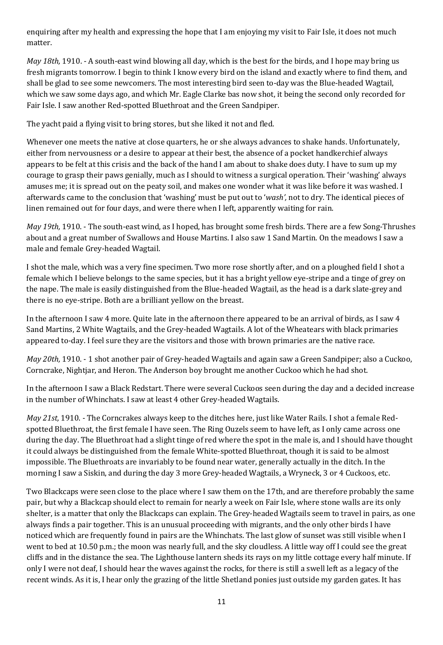enquiring after my health and expressing the hope that I am enjoying my visit to Fair Isle, it does not much matter.

*May 18th,* 1910. - A south-east wind blowing all day, which is the best for the birds, and I hope may bring us fresh migrants tomorrow. I begin to think I know every bird on the island and exactly where to find them, and shall be glad to see some newcomers. The most interesting bird seen to-day was the Blue-headed Wagtail, which we saw some days ago, and which Mr. Eagle Clarke bas now shot, it being the second only recorded for Fair Isle. I saw another Red-spotted Bluethroat and the Green Sandpiper.

The yacht paid a flying visit to bring stores, but she liked it not and fled.

Whenever one meets the native at close quarters, he or she always advances to shake hands. Unfortunately, either from nervousness or a desire to appear at their best, the absence of a pocket handkerchief always appears to be felt at this crisis and the back of the hand I am about to shake does duty. I have to sum up my courage to grasp their paws genially, much as I should to witness a surgical operation. Their 'washing' always amuses me; it is spread out on the peaty soil, and makes one wonder what it was like before it was washed. I afterwards came to the conclusion that 'washing' must be put out to '*wash',* not to dry. The identical pieces of linen remained out for four days, and were there when I left, apparently waiting for rain.

*May 19th,* 1910. - The south-east wind, as I hoped, has brought some fresh birds. There are a few Song-Thrushes about and a great number of Swallows and House Martins. I also saw 1 Sand Martin. On the meadows I saw a male and female Grey-headed Wagtail.

I shot the male, which was a very fine specimen. Two more rose shortly after, and on a ploughed field I shot a female which I believe belongs to the same species, but it has a bright yellow eye-stripe and a tinge of grey on the nape. The male is easily distinguished from the Blue-headed Wagtail, as the head is a dark slate-grey and there is no eye-stripe. Both are a brilliant yellow on the breast.

In the afternoon I saw 4 more. Quite late in the afternoon there appeared to be an arrival of birds, as I saw 4 Sand Martins, 2 White Wagtails, and the Grey-headed Wagtails. A lot of the Wheatears with black primaries appeared to-day. I feel sure they are the visitors and those with brown primaries are the native race.

*May 20th,* 1910. - 1 shot another pair of Grey-headed Wagtails and again saw a Green Sandpiper; also a Cuckoo, Corncrake, Nightjar, and Heron. The Anderson boy brought me another Cuckoo which he had shot.

In the afternoon I saw a Black Redstart. There were several Cuckoos seen during the day and a decided increase in the number of Whinchats. I saw at least 4 other Grey-headed Wagtails.

*May 21st,* 1910. - The Corncrakes always keep to the ditches here, just like Water Rails. I shot a female Redspotted Bluethroat, the first female I have seen. The Ring Ouzels seem to have left, as I only came across one during the day. The Bluethroat had a slight tinge of red where the spot in the male is, and I should have thought it could always be distinguished from the female White-spotted Bluethroat, though it is said to be almost impossible. The Bluethroats are invariably to be found near water, generally actually in the ditch. In the morning I saw a Siskin, and during the day 3 more Grey-headed Wagtails, a Wryneck, 3 or 4 Cuckoos, etc.

Two Blackcaps were seen close to the place where I saw them on the 17th, and are therefore probably the same pair, but why a Blackcap should elect to remain for nearly a week on Fair Isle, where stone walls are its only shelter, is a matter that only the Blackcaps can explain. The Grey-headed Wagtails seem to travel in pairs, as one always finds a pair together. This is an unusual proceeding with migrants, and the only other birds I have noticed which are frequently found in pairs are the Whinchats. The last glow of sunset was still visible when I went to bed at 10.50 p.m.; the moon was nearly full, and the sky cloudless. A little way off I could see the great cliffs and in the distance the sea. The Lighthouse lantern sheds its rays on my little cottage every half minute. If only I were not deaf, I should hear the waves against the rocks, for there is still a swell left as a legacy of the recent winds. As it is, I hear only the grazing of the little Shetland ponies just outside my garden gates. It has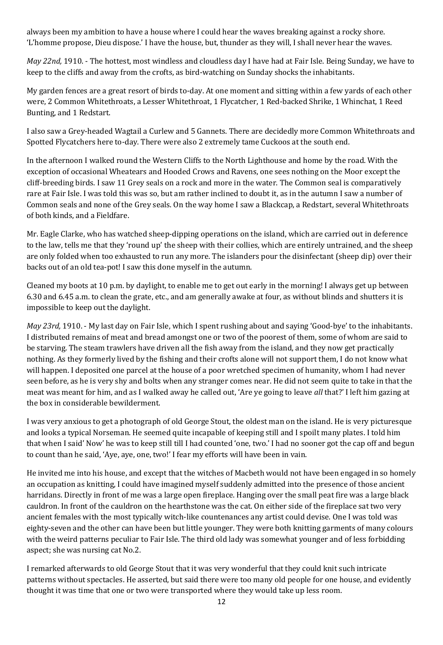always been my ambition to have a house where I could hear the waves breaking against a rocky shore. 'L'homme propose, Dieu dispose.' I have the house, but, thunder as they will, I shall never hear the waves.

*May 22nd,* 1910. - The hottest, most windless and cloudless day I have had at Fair Isle. Being Sunday, we have to keep to the cliffs and away from the crofts, as bird-watching on Sunday shocks the inhabitants.

My garden fences are a great resort of birds to-day. At one moment and sitting within a few yards of each other were, 2 Common Whitethroats, a Lesser Whitethroat, 1 Flycatcher, 1 Red-backed Shrike, 1 Whinchat, 1 Reed Bunting, and 1 Redstart.

I also saw a Grey-headed Wagtail a Curlew and 5 Gannets. There are decidedly more Common Whitethroats and Spotted Flycatchers here to-day. There were also 2 extremely tame Cuckoos at the south end.

In the afternoon I walked round the Western Cliffs to the North Lighthouse and home by the road. With the exception of occasional Wheatears and Hooded Crows and Ravens, one sees nothing on the Moor except the cliff-breeding birds. I saw 11 Grey seals on a rock and more in the water. The Common seal is comparatively rare at Fair Isle. I was told this was so, but am rather inclined to doubt it, as in the autumn I saw a number of Common seals and none of the Grey seals. On the way home I saw a Blackcap, a Redstart, several Whitethroats of both kinds, and a Fieldfare.

Mr. Eagle Clarke, who has watched sheep-dipping operations on the island, which are carried out in deference to the law, tells me that they 'round up' the sheep with their collies, which are entirely untrained, and the sheep are only folded when too exhausted to run any more. The islanders pour the disinfectant (sheep dip) over their backs out of an old tea-pot! I saw this done myself in the autumn.

Cleaned my boots at 10 p.m. by daylight, to enable me to get out early in the morning! I always get up between 6.30 and 6.45 a.m. to clean the grate, etc., and am generally awake at four, as without blinds and shutters it is impossible to keep out the daylight.

*May 23rd,* 1910. - My last day on Fair Isle, which I spent rushing about and saying 'Good-bye' to the inhabitants. I distributed remains of meat and bread amongst one or two of the poorest of them, some of whom are said to be starving. The steam trawlers have driven all the fish away from the island, and they now get practically nothing. As they formerly lived by the fishing and their crofts alone will not support them, I do not know what will happen. I deposited one parcel at the house of a poor wretched specimen of humanity, whom I had never seen before, as he is very shy and bolts when any stranger comes near. He did not seem quite to take in that the meat was meant for him, and as I walked away he called out, 'Are ye going to leave *all* that?' I left him gazing at the box in considerable bewilderment.

I was very anxious to get a photograph of old George Stout, the oldest man on the island. He is very picturesque and looks a typical Norseman. He seemed quite incapable of keeping still and I spoilt many plates. I told him that when I said' Now' he was to keep still till I had counted 'one, two.' I had no sooner got the cap off and begun to count than he said, 'Aye, aye, one, two!' I fear my efforts will have been in vain.

He invited me into his house, and except that the witches of Macbeth would not have been engaged in so homely an occupation as knitting, I could have imagined myself suddenly admitted into the presence of those ancient harridans. Directly in front of me was a large open fireplace. Hanging over the small peat fire was a large black cauldron. In front of the cauldron on the hearthstone was the cat. On either side of the fireplace sat two very ancient females with the most typically witch-like countenances any artist could devise. One I was told was eighty-seven and the other can have been but little younger. They were both knitting garments of many colours with the weird patterns peculiar to Fair Isle. The third old lady was somewhat younger and of less forbidding aspect; she was nursing cat No.2.

I remarked afterwards to old George Stout that it was very wonderful that they could knit such intricate patterns without spectacles. He asserted, but said there were too many old people for one house, and evidently thought it was time that one or two were transported where they would take up less room.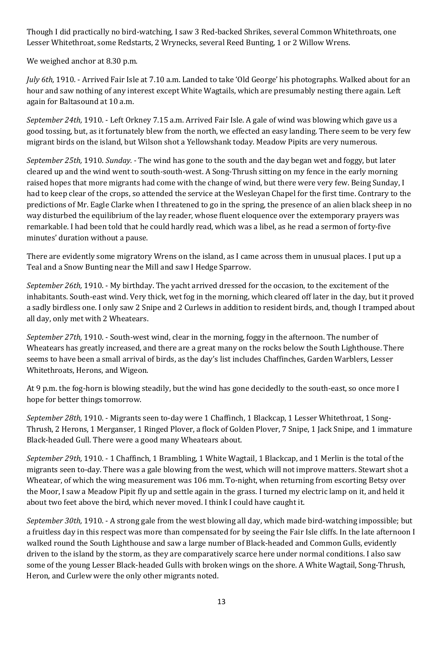Though I did practically no bird-watching, I saw 3 Red-backed Shrikes, several Common Whitethroats, one Lesser Whitethroat, some Redstarts, 2 Wrynecks, several Reed Bunting, 1 or 2 Willow Wrens.

We weighed anchor at 8.30 p.m.

*July* 6th, 1910. - Arrived Fair Isle at 7.10 a.m. Landed to take 'Old George' his photographs. Walked about for an hour and saw nothing of any interest except White Wagtails, which are presumably nesting there again. Left again for Baltasound at 10 a.m.

*September 24th,* 1910. - Left Orkney 7.15 a.m. Arrived Fair Isle. A gale of wind was blowing which gave us a good tossing, but, as it fortunately blew from the north, we effected an easy landing. There seem to be very few migrant birds on the island, but Wilson shot a Yellowshank today. Meadow Pipits are very numerous.

*September 25th,* 1910. *Sunday. -* The wind has gone to the south and the day began wet and foggy, but later cleared up and the wind went to south-south-west. A Song-Thrush sitting on my fence in the early morning raised hopes that more migrants had come with the change of wind, but there were very few. Being Sunday, I had to keep clear of the crops, so attended the service at the Wesleyan Chapel for the first time. Contrary to the predictions of Mr. Eagle Clarke when I threatened to go in the spring, the presence of an alien black sheep in no way disturbed the equilibrium of the lay reader, whose fluent eloquence over the extemporary prayers was remarkable. I had been told that he could hardly read, which was a libel, as he read a sermon of forty-five minutes' duration without a pause.

There are evidently some migratory Wrens on the island, as I came across them in unusual places. I put up a Teal and a Snow Bunting near the Mill and saw I Hedge Sparrow.

*September 26th,* 1910. - My birthday. The yacht arrived dressed for the occasion, to the excitement of the inhabitants. South-east wind. Very thick, wet fog in the morning, which cleared off later in the day, but it proved a sadly birdless one. I only saw 2 Snipe and 2 Curlews in addition to resident birds, and, though I tramped about all day, only met with 2 Wheatears.

*September 27th,* 1910. - South-west wind, clear in the morning, foggy in the afternoon. The number of Wheatears has greatly increased, and there are a great many on the rocks below the South Lighthouse. There seems to have been a small arrival of birds, as the day's list includes Chaffinches, Garden Warblers, Lesser Whitethroats, Herons, and Wigeon.

At 9 p.m. the fog-horn is blowing steadily, but the wind has gone decidedly to the south-east, so once more I hope for better things tomorrow.

*September 28th,* 1910. - Migrants seen to-day were 1 Chaffinch, 1 Blackcap, 1 Lesser Whitethroat, 1 Song-Thrush, 2 Herons, 1 Merganser, 1 Ringed Plover, a flock of Golden Plover, 7 Snipe, 1 Jack Snipe, and 1 immature Black-headed Gull. There were a good many Wheatears about.

*September 29th,* 1910. - 1 Chaffinch, 1 Brambling, 1 White Wagtail, 1 Blackcap, and 1 Merlin is the total of the migrants seen to-day. There was a gale blowing from the west, which will not improve matters. Stewart shot a Wheatear, of which the wing measurement was 106 mm. To-night, when returning from escorting Betsy over the Moor, I saw a Meadow Pipit fly up and settle again in the grass. I turned my electric lamp on it, and held it about two feet above the bird, which never moved. I think I could have caught it.

*September 30th,* 1910. - A strong gale from the west blowing all day, which made bird-watching impossible; but a fruitless day in this respect was more than compensated for by seeing the Fair Isle cliffs. In the late afternoon I walked round the South Lighthouse and saw a large number of Black-headed and Common Gulls, evidently driven to the island by the storm, as they are comparatively scarce here under normal conditions. I also saw some of the young Lesser Black-headed Gulls with broken wings on the shore. A White Wagtail, Song-Thrush, Heron, and Curlew were the only other migrants noted.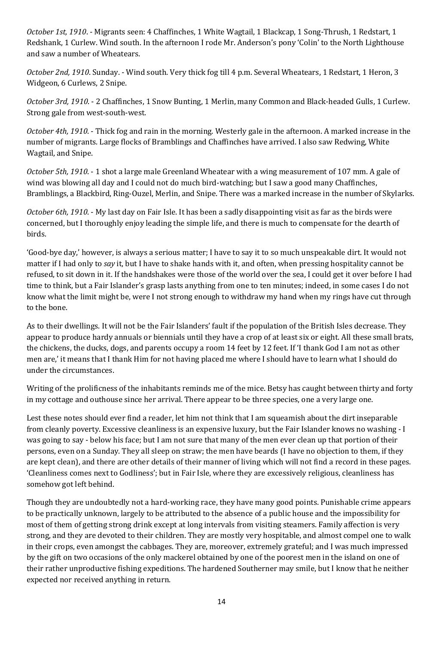*October 1st, 1910*. - Migrants seen: 4 Chaffinches, 1 White Wagtail, 1 Blackcap, 1 Song-Thrush, 1 Redstart, 1 Redshank, 1 Curlew. Wind south. In the afternoon I rode Mr. Anderson's pony 'Colin' to the North Lighthouse and saw a number of Wheatears.

*October 2nd, 1910*. Sunday. - Wind south. Very thick fog till 4 p.m. Several Wheatears, 1 Redstart, 1 Heron, 3 Widgeon, 6 Curlews, 2 Snipe.

*October 3rd, 1910*. - 2 Chaffinches, 1 Snow Bunting, 1 Merlin, many Common and Black-headed Gulls, 1 Curlew. Strong gale from west-south-west.

*October 4th, 1910*. - Thick fog and rain in the morning. Westerly gale in the afternoon. A marked increase in the number of migrants. Large flocks of Bramblings and Chaffinches have arrived. I also saw Redwing, White Wagtail, and Snipe.

*October 5th, 1910*. - 1 shot a large male Greenland Wheatear with a wing measurement of 107 mm. A gale of wind was blowing all day and I could not do much bird-watching; but I saw a good many Chaffinches, Bramblings, a Blackbird, Ring-Ouzel, Merlin, and Snipe. There was a marked increase in the number of Skylarks.

*October 6th, 1910*. - My last day on Fair Isle. It has been a sadly disappointing visit as far as the birds were concerned, but I thoroughly enjoy leading the simple life, and there is much to compensate for the dearth of birds.

'Good-bye day,' however, is always a serious matter; I have to say it to so much unspeakable dirt. It would not matter if I had only to *say* it, but I have to shake hands with it, and often, when pressing hospitality cannot be refused, to sit down in it. If the handshakes were those of the world over the sea, I could get it over before I had time to think, but a Fair Islander's grasp lasts anything from one to ten minutes; indeed, in some cases I do not know what the limit might be, were I not strong enough to withdraw my hand when my rings have cut through to the bone.

As to their dwellings. It will not be the Fair Islanders' fault if the population of the British Isles decrease. They appear to produce hardy annuals or biennials until they have a crop of at least six or eight. All these small brats, the chickens, the ducks, dogs, and parents occupy a room 14 feet by 12 feet. If 'I thank God I am not as other men are,' it means that I thank Him for not having placed me where I should have to learn what I should do under the circumstances.

Writing of the prolificness of the inhabitants reminds me of the mice. Betsy has caught between thirty and forty in my cottage and outhouse since her arrival. There appear to be three species, one a very large one.

Lest these notes should ever find a reader, let him not think that I am squeamish about the dirt inseparable from cleanly poverty. Excessive cleanliness is an expensive luxury, but the Fair Islander knows no washing - I was going to say - below his face; but I am not sure that many of the men ever clean up that portion of their persons, even on a Sunday. They all sleep on straw; the men have beards (I have no objection to them, if they are kept clean), and there are other details of their manner of living which will not find a record in these pages. 'Cleanliness comes next to Godliness'; but in Fair Isle, where they are excessively religious, cleanliness has somehow got left behind.

Though they are undoubtedly not a hard-working race, they have many good points. Punishable crime appears to be practically unknown, largely to be attributed to the absence of a public house and the impossibility for most of them of getting strong drink except at long intervals from visiting steamers. Family affection is very strong, and they are devoted to their children. They are mostly very hospitable, and almost compel one to walk in their crops, even amongst the cabbages. They are, moreover, extremely grateful; and I was much impressed by the gift on two occasions of the only mackerel obtained by one of the poorest men in the island on one of their rather unproductive fishing expeditions. The hardened Southerner may smile, but I know that he neither expected nor received anything in return.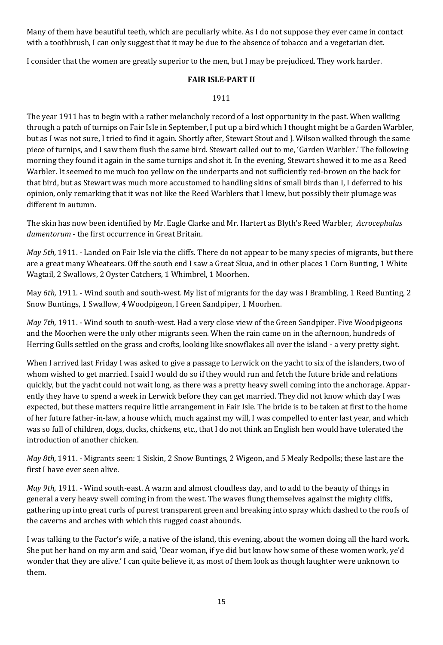Many of them have beautiful teeth, which are peculiarly white. As I do not suppose they ever came in contact with a toothbrush, I can only suggest that it may be due to the absence of tobacco and a vegetarian diet.

I consider that the women are greatly superior to the men, but I may be prejudiced. They work harder.

# **FAIR ISLE-PART II**

### 1911

The year 1911 has to begin with a rather melancholy record of a lost opportunity in the past. When walking through a patch of turnips on Fair Isle in September, I put up a bird which I thought might be a Garden Warbler, but as I was not sure, I tried to find it again. Shortly after, Stewart Stout and J. Wilson walked through the same piece of turnips, and I saw them flush the same bird. Stewart called out to me, 'Garden Warbler.' The following morning they found it again in the same turnips and shot it. In the evening, Stewart showed it to me as a Reed Warbler. It seemed to me much too yellow on the underparts and not sufficiently red-brown on the back for that bird, but as Stewart was much more accustomed to handling skins of small birds than I, I deferred to his opinion, only remarking that it was not like the Reed Warblers that I knew, but possibly their plumage was different in autumn.

The skin has now been identified by Mr. Eagle Clarke and Mr. Hartert as Blyth's Reed Warbler, *Acrocephalus dumentorum* - the first occurrence in Great Britain.

*May 5th,* 1911. - Landed on Fair Isle via the cliffs. There do not appear to be many species of migrants, but there are a great many Wheatears. Off the south end I saw a Great Skua, and in other places 1 Corn Bunting, 1 White Wagtail, 2 Swallows, 2 Oyster Catchers, 1 Whimbrel, 1 Moorhen.

May *6th,* 1911. - Wind south and south-west. My list of migrants for the day was I Brambling, 1 Reed Bunting, 2 Snow Buntings, 1 Swallow, 4 Woodpigeon, I Green Sandpiper, 1 Moorhen.

*May 7th,* 1911. - Wind south to south-west. Had a very close view of the Green Sandpiper. Five Woodpigeons and the Moorhen were the only other migrants seen. When the rain came on in the afternoon, hundreds of Herring Gulls settled on the grass and crofts, looking like snowflakes all over the island - a very pretty sight.

When I arrived last Friday I was asked to give a passage to Lerwick on the yacht to six of the islanders, two of whom wished to get married. I said I would do so if they would run and fetch the future bride and relations quickly, but the yacht could not wait long, as there was a pretty heavy swell coming into the anchorage. Apparently they have to spend a week in Lerwick before they can get married. They did not know which day I was expected, but these matters require little arrangement in Fair Isle. The bride is to be taken at first to the home of her future father-in-law, a house which, much against my will, I was compelled to enter last year, and which was so full of children, dogs, ducks, chickens, etc., that I do not think an English hen would have tolerated the introduction of another chicken.

*May 8th,* 1911. - Migrants seen: 1 Siskin, 2 Snow Buntings, 2 Wigeon, and 5 Mealy Redpolls; these last are the first I have ever seen alive.

*May 9th,* 1911. - Wind south-east. A warm and almost cloudless day, and to add to the beauty of things in general a very heavy swell coming in from the west. The waves flung themselves against the mighty cliffs, gathering up into great curls of purest transparent green and breaking into spray which dashed to the roofs of the caverns and arches with which this rugged coast abounds.

I was talking to the Factor's wife, a native of the island, this evening, about the women doing all the hard work. She put her hand on my arm and said, 'Dear woman, if ye did but know how some of these women work, ye'd wonder that they are alive.' I can quite believe it, as most of them look as though laughter were unknown to them.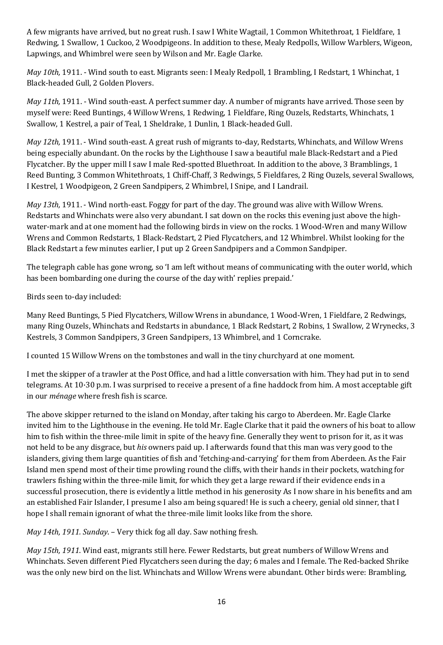A few migrants have arrived, but no great rush. I saw I White Wagtail, 1 Common Whitethroat, 1 Fieldfare, 1 Redwing, 1 Swallow, 1 Cuckoo, 2 Woodpigeons. In addition to these, Mealy Redpolls, Willow Warblers, Wigeon, Lapwings, and Whimbrel were seen by Wilson and Mr. Eagle Clarke.

*May 10th,* 1911. - Wind south to east. Migrants seen: I Mealy Redpoll, 1 Brambling, I Redstart, 1 Whinchat, 1 Black-headed Gull, 2 Golden Plovers.

*May 11th,* 1911. - Wind south-east. A perfect summer day. A number of migrants have arrived. Those seen by myself were: Reed Buntings, 4 Willow Wrens, 1 Redwing, 1 Fieldfare, Ring Ouzels, Redstarts, Whinchats, 1 Swallow, 1 Kestrel, a pair of Teal, 1 Sheldrake, 1 Dunlin, 1 Black-headed Gull.

*May 12th,* 1911. - Wind south-east. A great rush of migrants to-day, Redstarts, Whinchats, and Willow Wrens being especially abundant. On the rocks by the Lighthouse I saw a beautiful male Black-Redstart and a Pied Flycatcher. By the upper mill I saw I male Red-spotted Bluethroat. In addition to the above, 3 Bramblings, 1 Reed Bunting, 3 Common Whitethroats, 1 Chiff-Chaff, 3 Redwings, 5 Fieldfares, 2 Ring Ouzels, several Swallows, I Kestrel, 1 Woodpigeon, 2 Green Sandpipers, 2 Whimbrel, I Snipe, and I Landrail.

*May 13th,* 1911. - Wind north-east. Foggy for part of the day. The ground was alive with Willow Wrens. Redstarts and Whinchats were also very abundant. I sat down on the rocks this evening just above the highwater-mark and at one moment had the following birds in view on the rocks. 1 Wood-Wren and many Willow Wrens and Common Redstarts, 1 Black-Redstart, 2 Pied Flycatchers, and 12 Whimbrel. Whilst looking for the Black Redstart a few minutes earlier, I put up 2 Green Sandpipers and a Common Sandpiper.

The telegraph cable has gone wrong, so 'I am left without means of communicating with the outer world, which has been bombarding one during the course of the day with' replies prepaid.'

Birds seen to-day included:

Many Reed Buntings, 5 Pied Flycatchers, Willow Wrens in abundance, 1 Wood-Wren, 1 Fieldfare, 2 Redwings, many Ring Ouzels, Whinchats and Redstarts in abundance, 1 Black Redstart, 2 Robins, 1 Swallow, 2 Wrynecks, 3 Kestrels, 3 Common Sandpipers, 3 Green Sandpipers, 13 Whimbrel, and 1 Corncrake.

I counted 15 Willow Wrens on the tombstones and wall in the tiny churchyard at one moment.

I met the skipper of a trawler at the Post Office, and had a little conversation with him. They had put in to send telegrams. At 10·30 p.m. I was surprised to receive a present of a fine haddock from him. A most acceptable gift in our *ménage* where fresh fish is scarce.

The above skipper returned to the island on Monday, after taking his cargo to Aberdeen. Mr. Eagle Clarke invited him to the Lighthouse in the evening. He told Mr. Eagle Clarke that it paid the owners of his boat to allow him to fish within the three-mile limit in spite of the heavy fine. Generally they went to prison for it, as it was not held to be any disgrace, but *his* owners paid up. I afterwards found that this man was very good to the islanders, giving them large quantities of fish and 'fetching-and-carrying' for them from Aberdeen. As the Fair Island men spend most of their time prowling round the cliffs, with their hands in their pockets, watching for trawlers fishing within the three-mile limit, for which they get a large reward if their evidence ends in a successful prosecution, there is evidently a little method in his generosity As I now share in his benefits and am an established Fair Islander, I presume I also am being squared! He is such a cheery, genial old sinner, that I hope I shall remain ignorant of what the three-mile limit looks like from the shore.

*May 14th, 1911. Sunday*. – Very thick fog all day. Saw nothing fresh.

*May 15th, 1911*. Wind east, migrants still here. Fewer Redstarts, but great numbers of Willow Wrens and Whinchats. Seven different Pied Flycatchers seen during the day; 6 males and I female. The Red-backed Shrike was the only new bird on the list. Whinchats and Willow Wrens were abundant. Other birds were: Brambling,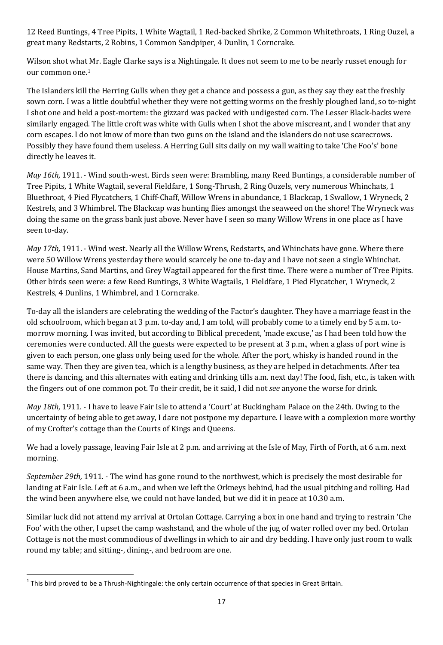12 Reed Buntings, 4 Tree Pipits, 1 White Wagtail, 1 Red-backed Shrike, 2 Common Whitethroats, 1 Ring Ouzel, a great many Redstarts, 2 Robins, 1 Common Sandpiper, 4 Dunlin, 1 Corncrake.

Wilson shot what Mr. Eagle Clarke says is a Nightingale. It does not seem to me to be nearly russet enough for our common one.[1](#page-16-0)

The Islanders kill the Herring Gulls when they get a chance and possess a gun, as they say they eat the freshly sown corn. I was a little doubtful whether they were not getting worms on the freshly ploughed land, so to-night I shot one and held a post-mortem: the gizzard was packed with undigested corn. The Lesser Black-backs were similarly engaged. The little croft was white with Gulls when I shot the above miscreant, and I wonder that any corn escapes. I do not know of more than two guns on the island and the islanders do not use scarecrows. Possibly they have found them useless. A Herring Gull sits daily on my wall waiting to take 'Che Foo's' bone directly he leaves it.

*May 16th,* 1911. - Wind south-west. Birds seen were: Brambling, many Reed Buntings, a considerable number of Tree Pipits, 1 White Wagtail, several Fieldfare, 1 Song-Thrush, 2 Ring Ouzels, very numerous Whinchats, 1 Bluethroat, 4 Pied Flycatchers, 1 Chiff-Chaff, Willow Wrens in abundance, 1 Blackcap, 1 Swallow, 1 Wryneck, 2 Kestrels, and 3 Whimbrel. The Blackcap was hunting flies amongst the seaweed on the shore! The Wryneck was doing the same on the grass bank just above. Never have I seen so many Willow Wrens in one place as I have seen to-day.

*May 17th,* 1911. - Wind west. Nearly all the Willow Wrens, Redstarts, and Whinchats have gone. Where there were 50 Willow Wrens yesterday there would scarcely be one to-day and I have not seen a single Whinchat. House Martins, Sand Martins, and Grey Wagtail appeared for the first time. There were a number of Tree Pipits. Other birds seen were: a few Reed Buntings, 3 White Wagtails, 1 Fieldfare, 1 Pied Flycatcher, 1 Wryneck, 2 Kestrels, 4 Dunlins, 1 Whimbrel, and 1 Corncrake.

To-day all the islanders are celebrating the wedding of the Factor's daughter. They have a marriage feast in the old schoolroom, which began at 3 p.m. to-day and, I am told, will probably come to a timely end by 5 a.m. tomorrow morning. I was invited, but according to Biblical precedent, 'made excuse,' as I had been told how the ceremonies were conducted. All the guests were expected to be present at 3 p.m., when a glass of port wine is given to each person, one glass only being used for the whole. After the port, whisky is handed round in the same way. Then they are given tea, which is a lengthy business, as they are helped in detachments. After tea there is dancing, and this alternates with eating and drinking tills a.m. next day! The food, fish, etc., is taken with the fingers out of one common pot. To their credit, be it said, I did not *see* anyone the worse for drink.

*May 18th,* 1911. - I have to leave Fair Isle to attend a 'Court' at Buckingham Palace on the 24th. Owing to the uncertainty of being able to get away, I dare not postpone my departure. I leave with a complexion more worthy of my Crofter's cottage than the Courts of Kings and Queens.

We had a lovely passage, leaving Fair Isle at 2 p.m. and arriving at the Isle of May, Firth of Forth, at 6 a.m. next morning.

*September 29th,* 1911. - The wind has gone round to the northwest, which is precisely the most desirable for landing at Fair Isle. Left at 6 a.m., and when we left the Orkneys behind, had the usual pitching and rolling. Had the wind been anywhere else, we could not have landed, but we did it in peace at 10.30 a.m.

Similar luck did not attend my arrival at Ortolan Cottage. Carrying a box in one hand and trying to restrain 'Che Foo' with the other, I upset the camp washstand, and the whole of the jug of water rolled over my bed. Ortolan Cottage is not the most commodious of dwellings in which to air and dry bedding. I have only just room to walk round my table; and sitting-, dining-, and bedroom are one.

<span id="page-16-0"></span> $1$  This bird proved to be a Thrush-Nightingale: the only certain occurrence of that species in Great Britain.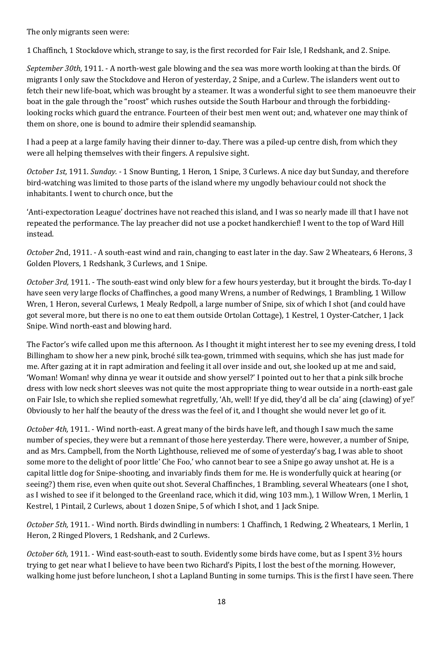The only migrants seen were:

1 Chaffinch, 1 Stockdove which, strange to say, is the first recorded for Fair Isle, I Redshank, and 2. Snipe.

*September 30th,* 1911. - A north-west gale blowing and the sea was more worth looking at than the birds. Of migrants I only saw the Stockdove and Heron of yesterday, 2 Snipe, and a Curlew. The islanders went out to fetch their new life-boat, which was brought by a steamer. It was a wonderful sight to see them manoeuvre their boat in the gale through the "roost" which rushes outside the South Harbour and through the forbiddinglooking rocks which guard the entrance. Fourteen of their best men went out; and, whatever one may think of them on shore, one is bound to admire their splendid seamanship.

I had a peep at a large family having their dinner to-day. There was a piled-up centre dish, from which they were all helping themselves with their fingers. A repulsive sight.

*October 1st,* 1911. *Sunday. -* 1 Snow Bunting, 1 Heron, 1 Snipe, 3 Curlews. A nice day but Sunday, and therefore bird-watching was limited to those parts of the island where my ungodly behaviour could not shock the inhabitants. I went to church once, but the

'Anti-expectoration League' doctrines have not reached this island, and I was so nearly made ill that I have not repeated the performance. The lay preacher did not use a pocket handkerchief! I went to the top of Ward Hill instead.

*October 2*nd, 1911. - A south-east wind and rain, changing to east later in the day. Saw 2 Wheatears, 6 Herons, 3 Golden Plovers, 1 Redshank, 3 Curlews, and 1 Snipe.

*October 3rd,* 1911. - The south-east wind only blew for a few hours yesterday, but it brought the birds. To-day I have seen very large flocks of Chaffinches, a good many Wrens, a number of Redwings, 1 Brambling, 1 Willow Wren, 1 Heron, several Curlews, 1 Mealy Redpoll, a large number of Snipe, six of which I shot (and could have got several more, but there is no one to eat them outside Ortolan Cottage), 1 Kestrel, 1 Oyster-Catcher, 1 Jack Snipe. Wind north-east and blowing hard.

The Factor's wife called upon me this afternoon. As I thought it might interest her to see my evening dress, I told Billingham to show her a new pink, broché silk tea-gown, trimmed with sequins, which she has just made for me. After gazing at it in rapt admiration and feeling it all over inside and out, she looked up at me and said, 'Woman! Woman! why dinna ye wear it outside and show yersel?' I pointed out to her that a pink silk broche dress with low neck short sleeves was not quite the most appropriate thing to wear outside in a north-east gale on Fair Isle, to which she replied somewhat regretfully, 'Ah, well! If ye did, they'd all be cla' aing (clawing) of ye!' Obviously to her half the beauty of the dress was the feel of it, and I thought she would never let go of it.

*October 4th,* 1911. - Wind north-east. A great many of the birds have left, and though I saw much the same number of species, they were but a remnant of those here yesterday. There were, however, a number of Snipe, and as Mrs. Campbell, from the North Lighthouse, relieved me of some of yesterday's bag, I was able to shoot some more to the delight of poor little' Che Foo,' who cannot bear to see a Snipe go away unshot at. He is a capital little dog for Snipe-shooting, and invariably finds them for me. He is wonderfully quick at hearing (or seeing?) them rise, even when quite out shot. Several Chaffinches, 1 Brambling, several Wheatears (one I shot, as I wished to see if it belonged to the Greenland race, which it did, wing 103 mm.), 1 Willow Wren, 1 Merlin, 1 Kestrel, 1 Pintail, 2 Curlews, about 1 dozen Snipe, 5 of which I shot, and 1 Jack Snipe.

*October 5th,* 1911. - Wind north. Birds dwindling in numbers: 1 Chaffinch, 1 Redwing, 2 Wheatears, 1 Merlin, 1 Heron, 2 Ringed Plovers, 1 Redshank, and 2 Curlews.

*October 6th,* 1911. - Wind east-south-east to south. Evidently some birds have come, but as I spent 3½ hours trying to get near what I believe to have been two Richard's Pipits, I lost the best of the morning. However, walking home just before luncheon, I shot a Lapland Bunting in some turnips. This is the first I have seen. There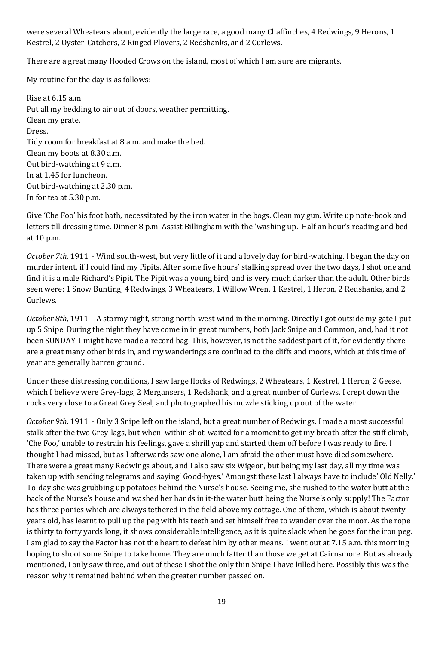were several Wheatears about, evidently the large race, a good many Chaffinches, 4 Redwings, 9 Herons, 1 Kestrel, 2 Oyster-Catchers, 2 Ringed Plovers, 2 Redshanks, and 2 Curlews.

There are a great many Hooded Crows on the island, most of which I am sure are migrants.

My routine for the day is as follows:

Rise at 6.15 a.m. Put all my bedding to air out of doors, weather permitting. Clean my grate. Dress. Tidy room for breakfast at 8 a.m. and make the bed. Clean my boots at 8.30 a.m. Out bird-watching at 9 a.m. In at 1.45 for luncheon. Out bird-watching at 2.30 p.m. In for tea at 5.30 p.m.

Give 'Che Foo' his foot bath, necessitated by the iron water in the bogs. Clean my gun. Write up note-book and letters till dressing time. Dinner 8 p.m. Assist Billingham with the 'washing up.' Half an hour's reading and bed at 10 p.m.

*October 7th,* 1911. - Wind south-west, but very little of it and a lovely day for bird-watching. I began the day on murder intent, if I could find my Pipits. After some five hours' stalking spread over the two days, I shot one and find it is a male Richard's Pipit. The Pipit was a young bird, and is very much darker than the adult. Other birds seen were: 1 Snow Bunting, 4 Redwings, 3 Wheatears, 1 Willow Wren, 1 Kestrel, 1 Heron, 2 Redshanks, and 2 Curlews.

*October 8th,* 1911. - A stormy night, strong north-west wind in the morning. Directly I got outside my gate I put up 5 Snipe. During the night they have come in in great numbers, both Jack Snipe and Common, and, had it not been SUNDAY, I might have made a record bag. This, however, is not the saddest part of it, for evidently there are a great many other birds in, and my wanderings are confined to the cliffs and moors, which at this time of year are generally barren ground.

Under these distressing conditions, I saw large flocks of Redwings, 2 Wheatears, 1 Kestrel, 1 Heron, 2 Geese, which I believe were Grey-lags, 2 Mergansers, 1 Redshank, and a great number of Curlews. I crept down the rocks very close to a Great Grey Seal, and photographed his muzzle sticking up out of the water.

*October 9th,* 1911. - Only 3 Snipe left on the island, but a great number of Redwings. I made a most successful stalk after the two Grey-lags, but when, within shot, waited for a moment to get my breath after the stiff climb, 'Che Foo,' unable to restrain his feelings, gave a shrill yap and started them off before I was ready to fire. I thought I had missed, but as I afterwards saw one alone, I am afraid the other must have died somewhere. There were a great many Redwings about, and I also saw six Wigeon, but being my last day, all my time was taken up with sending telegrams and saying' Good-byes.' Amongst these last I always have to include' Old Nelly.' To-day she was grubbing up potatoes behind the Nurse's house. Seeing me, she rushed to the water butt at the back of the Nurse's house and washed her hands in it-the water butt being the Nurse's only supply! The Factor has three ponies which are always tethered in the field above my cottage. One of them, which is about twenty years old, has learnt to pull up the peg with his teeth and set himself free to wander over the moor. As the rope is thirty to forty yards long, it shows considerable intelligence, as it is quite slack when he goes for the iron peg. I am glad to say the Factor has not the heart to defeat him by other means. I went out at 7.15 a.m. this morning hoping to shoot some Snipe to take home. They are much fatter than those we get at Cairnsmore. But as already mentioned, I only saw three, and out of these I shot the only thin Snipe I have killed here. Possibly this was the reason why it remained behind when the greater number passed on.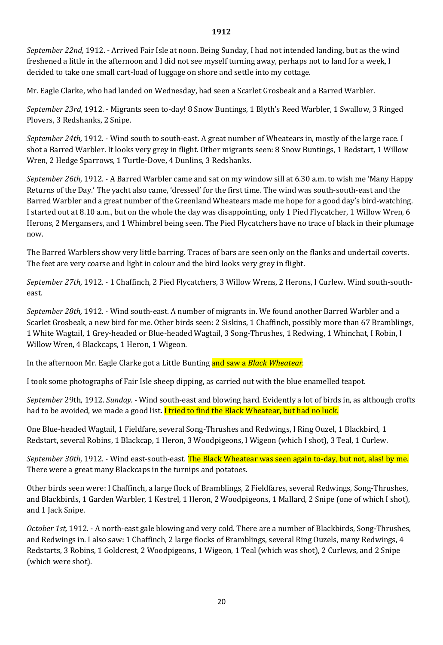#### **1912**

*September 22nd,* 1912. - Arrived Fair Isle at noon. Being Sunday, I had not intended landing, but as the wind freshened a little in the afternoon and I did not see myself turning away, perhaps not to land for a week, I decided to take one small cart-load of luggage on shore and settle into my cottage.

Mr. Eagle Clarke, who had landed on Wednesday, had seen a Scarlet Grosbeak and a Barred Warbler.

*September 23rd,* 1912. - Migrants seen to-day! 8 Snow Buntings, 1 Blyth's Reed Warbler, 1 Swallow, 3 Ringed Plovers, 3 Redshanks, 2 Snipe.

*September 24th,* 1912. - Wind south to south-east. A great number of Wheatears in, mostly of the large race. I shot a Barred Warbler. It looks very grey in flight. Other migrants seen: 8 Snow Buntings, 1 Redstart, 1 Willow Wren, 2 Hedge Sparrows, 1 Turtle-Dove, 4 Dunlins, 3 Redshanks.

*September 26th,* 1912. - A Barred Warbler came and sat on my window sill at 6.30 a.m. to wish me 'Many Happy Returns of the Day.' The yacht also came, 'dressed' for the first time. The wind was south-south-east and the Barred Warbler and a great number of the Greenland Wheatears made me hope for a good day's bird-watching. I started out at 8.10 a.m., but on the whole the day was disappointing, only 1 Pied Flycatcher, 1 Willow Wren, 6 Herons, 2 Mergansers, and 1 Whimbrel being seen. The Pied Flycatchers have no trace of black in their plumage now.

The Barred Warblers show very little barring. Traces of bars are seen only on the flanks and undertail coverts. The feet are very coarse and light in colour and the bird looks very grey in flight.

*September 27th,* 1912. - 1 Chaffinch, 2 Pied Flycatchers, 3 Willow Wrens, 2 Herons, I Curlew. Wind south-southeast.

*September 28th,* 1912. - Wind south-east. A number of migrants in. We found another Barred Warbler and a Scarlet Grosbeak, a new bird for me. Other birds seen: 2 Siskins, 1 Chaffinch, possibly more than 67 Bramblings, 1 White Wagtail, 1 Grey-headed or Blue-headed Wagtail, 3 Song-Thrushes, 1 Redwing, 1 Whinchat, I Robin, I Willow Wren, 4 Blackcaps, 1 Heron, 1 Wigeon.

In the afternoon Mr. Eagle Clarke got a Little Bunting and saw a *Black Wheatear.* 

I took some photographs of Fair Isle sheep dipping, as carried out with the blue enamelled teapot.

*September* 29th, 1912. *Sunday. -* Wind south-east and blowing hard. Evidently a lot of birds in, as although crofts had to be avoided, we made a good list. I tried to find the Black Wheatear, but had no luck.

One Blue-headed Wagtail, 1 Fieldfare, several Song-Thrushes and Redwings, I Ring Ouzel, 1 Blackbird, 1 Redstart, several Robins, 1 Blackcap, 1 Heron, 3 Woodpigeons, I Wigeon (which I shot), 3 Teal, 1 Curlew.

*September 30th,* 1912. - Wind east-south-east. The Black Wheatear was seen again to-day, but not, alas! by me. There were a great many Blackcaps in the turnips and potatoes.

Other birds seen were: I Chaffinch, a large flock of Bramblings, 2 Fieldfares, several Redwings, Song-Thrushes, and Blackbirds, 1 Garden Warbler, 1 Kestrel, 1 Heron, 2 Woodpigeons, 1 Mallard, 2 Snipe (one of which I shot), and 1 Jack Snipe.

*October 1st,* 1912. - A north-east gale blowing and very cold. There are a number of Blackbirds, Song-Thrushes, and Redwings in. I also saw: 1 Chaffinch, 2 large flocks of Bramblings, several Ring Ouzels, many Redwings, 4 Redstarts, 3 Robins, 1 Goldcrest, 2 Woodpigeons, 1 Wigeon, 1 Teal (which was shot), 2 Curlews, and 2 Snipe (which were shot).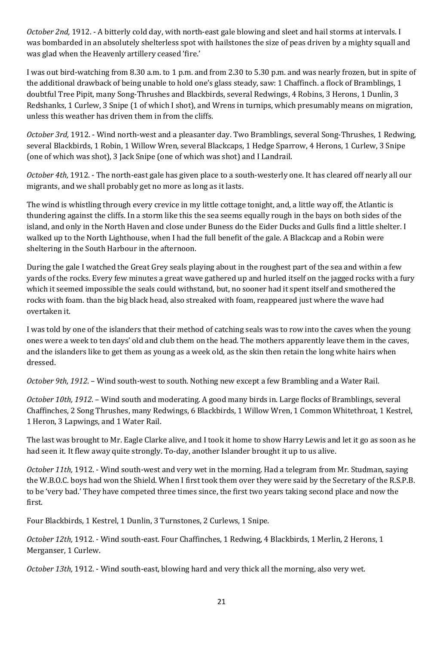*October 2nd,* 1912. - A bitterly cold day, with north-east gale blowing and sleet and hail storms at intervals. I was bombarded in an absolutely shelterless spot with hailstones the size of peas driven by a mighty squall and was glad when the Heavenly artillery ceased 'fire.'

I was out bird-watching from 8.30 a.m. to 1 p.m. and from 2.30 to 5.30 p.m. and was nearly frozen, but in spite of the additional drawback of being unable to hold one's glass steady, saw: 1 Chaffinch. a flock of Bramblings, 1 doubtful Tree Pipit, many Song-Thrushes and Blackbirds, several Redwings, 4 Robins, 3 Herons, 1 Dunlin, 3 Redshanks, 1 Curlew, 3 Snipe (1 of which I shot), and Wrens in turnips, which presumably means on migration, unless this weather has driven them in from the cliffs.

*October 3rd,* 1912. - Wind north-west and a pleasanter day. Two Bramblings, several Song-Thrushes, 1 Redwing, several Blackbirds, 1 Robin, 1 Willow Wren, several Blackcaps, 1 Hedge Sparrow, 4 Herons, 1 Curlew, 3 Snipe (one of which was shot), 3 Jack Snipe (one of which was shot) and I Landrail.

*October 4th,* 1912. - The north-east gale has given place to a south-westerly one. It has cleared off nearly all our migrants, and we shall probably get no more as long as it lasts.

The wind is whistling through every crevice in my little cottage tonight, and, a little way off, the Atlantic is thundering against the cliffs. In a storm like this the sea seems equally rough in the bays on both sides of the island, and only in the North Haven and close under Buness do the Eider Ducks and Gulls find a little shelter. I walked up to the North Lighthouse, when I had the full benefit of the gale. A Blackcap and a Robin were sheltering in the South Harbour in the afternoon.

During the gale I watched the Great Grey seals playing about in the roughest part of the sea and within a few yards of the rocks. Every few minutes a great wave gathered up and hurled itself on the jagged rocks with a fury which it seemed impossible the seals could withstand, but, no sooner had it spent itself and smothered the rocks with foam. than the big black head, also streaked with foam, reappeared just where the wave had overtaken it.

I was told by one of the islanders that their method of catching seals was to row into the caves when the young ones were a week to ten days' old and club them on the head. The mothers apparently leave them in the caves, and the islanders like to get them as young as a week old, as the skin then retain the long white hairs when dressed.

*October 9th, 1912*. – Wind south-west to south. Nothing new except a few Brambling and a Water Rail.

*October 10th, 1912*. – Wind south and moderating. A good many birds in. Large flocks of Bramblings, several Chaffinches, 2 Song Thrushes, many Redwings, 6 Blackbirds, 1 Willow Wren, 1 Common Whitethroat, 1 Kestrel, 1 Heron, 3 Lapwings, and 1 Water Rail.

The last was brought to Mr. Eagle Clarke alive, and I took it home to show Harry Lewis and let it go as soon as he had seen it. It flew away quite strongly. To-day, another Islander brought it up to us alive.

*October 11th,* 1912. - Wind south-west and very wet in the morning. Had a telegram from Mr. Studman, saying the W.B.O.C. boys had won the Shield. When I first took them over they were said by the Secretary of the R.S.P.B. to be 'very bad.' They have competed three times since, the first two years taking second place and now the first.

Four Blackbirds, 1 Kestrel, 1 Dunlin, 3 Turnstones, 2 Curlews, 1 Snipe.

*October 12th,* 1912. - Wind south-east. Four Chaffinches, 1 Redwing, 4 Blackbirds, 1 Merlin, 2 Herons, 1 Merganser, 1 Curlew.

*October 13th,* 1912. - Wind south-east, blowing hard and very thick all the morning, also very wet.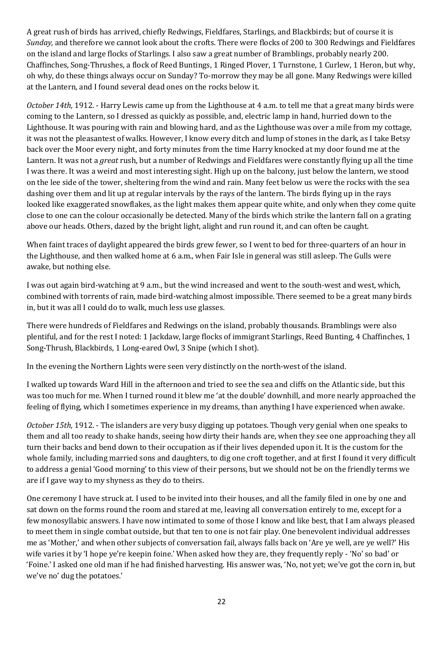A great rush of birds has arrived, chiefly Redwings, Fieldfares, Starlings, and Blackbirds; but of course it is *Sunday,* and therefore we cannot look about the crofts. There were flocks of 200 to 300 Redwings and Fieldfares on the island and large flocks of Starlings. I also saw a great number of Bramblings, probably nearly 200. Chaffinches, Song-Thrushes, a flock of Reed Buntings, 1 Ringed Plover, 1 Turnstone, 1 Curlew, 1 Heron, but why, oh why, do these things always occur on Sunday? To-morrow they may be all gone. Many Redwings were killed at the Lantern, and I found several dead ones on the rocks below it.

*October 14th,* 1912. - Harry Lewis came up from the Lighthouse at 4 a.m. to tell me that a great many birds were coming to the Lantern, so I dressed as quickly as possible, and, electric lamp in hand, hurried down to the Lighthouse. It was pouring with rain and blowing hard, and as the Lighthouse was over a mile from my cottage, it was not the pleasantest of walks. However, I know every ditch and lump of stones in the dark, as I take Betsy back over the Moor every night, and forty minutes from the time Harry knocked at my door found me at the Lantern. It was not a *great* rush, but a number of Redwings and Fieldfares were constantly flying up all the time I was there. It was a weird and most interesting sight. High up on the balcony, just below the lantern, we stood on the lee side of the tower, sheltering from the wind and rain. Many feet below us were the rocks with the sea dashing over them and lit up at regular intervals by the rays of the lantern. The birds flying up in the rays looked like exaggerated snowflakes, as the light makes them appear quite white, and only when they come quite close to one can the colour occasionally be detected. Many of the birds which strike the lantern fall on a grating above our heads. Others, dazed by the bright light, alight and run round it, and can often be caught.

When faint traces of daylight appeared the birds grew fewer, so I went to bed for three-quarters of an hour in the Lighthouse, and then walked home at 6 a.m., when Fair Isle in general was still asleep. The Gulls were awake, but nothing else.

I was out again bird-watching at 9 a.m., but the wind increased and went to the south-west and west, which, combined with torrents of rain, made bird-watching almost impossible. There seemed to be a great many birds in, but it was all I could do to walk, much less use glasses.

There were hundreds of Fieldfares and Redwings on the island, probably thousands. Bramblings were also plentiful, and for the rest I noted: 1 Jackdaw, large flocks of immigrant Starlings, Reed Bunting, 4 Chaffinches, 1 Song-Thrush, Blackbirds, 1 Long-eared Owl, 3 Snipe (which I shot).

In the evening the Northern Lights were seen very distinctly on the north-west of the island.

I walked up towards Ward Hill in the afternoon and tried to see the sea and cliffs on the Atlantic side, but this was too much for me. When I turned round it blew me 'at the double' downhill, and more nearly approached the feeling of flying, which I sometimes experience in my dreams, than anything I have experienced when awake.

*October 15th,* 1912. - The islanders are very busy digging up potatoes. Though very genial when one speaks to them and all too ready to shake hands, seeing how dirty their hands are, when they see one approaching they all turn their backs and bend down to their occupation as if their lives depended upon it. It is the custom for the whole family, including married sons and daughters, to dig one croft together, and at first I found it very difficult to address a genial 'Good morning' to this view of their persons, but we should not be on the friendly terms we are if I gave way to my shyness as they do to theirs.

One ceremony I have struck at. I used to be invited into their houses, and all the family filed in one by one and sat down on the forms round the room and stared at me, leaving all conversation entirely to me, except for a few monosyllabic answers. I have now intimated to some of those I know and like best, that I am always pleased to meet them in single combat outside, but that ten to one is not fair play. One benevolent individual addresses me as 'Mother,' and when other subjects of conversation fail, always falls back on 'Are ye well, are ye well?' His wife varies it by 'I hope ye're keepin foine.' When asked how they are, they frequently reply - 'No' so bad' or 'Foine.' I asked one old man if he had finished harvesting. His answer was, 'No, not yet; we've got the corn in, but we've no' dug the potatoes.'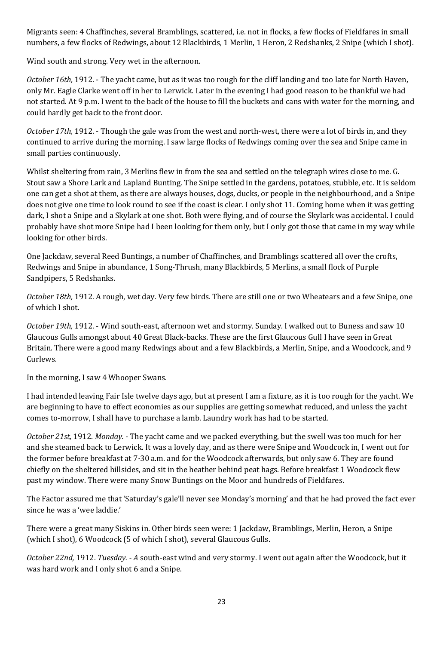Migrants seen: 4 Chaffinches, several Bramblings, scattered, i.e. not in flocks, a few flocks of Fieldfares in small numbers, a few flocks of Redwings, about 12 Blackbirds, 1 Merlin, 1 Heron, 2 Redshanks, 2 Snipe (which I shot).

Wind south and strong. Very wet in the afternoon.

*October 16th,* 1912. - The yacht came, but as it was too rough for the cliff landing and too late for North Haven, only Mr. Eagle Clarke went off in her to Lerwick. Later in the evening I had good reason to be thankful we had not started. At 9 p.m. I went to the back of the house to fill the buckets and cans with water for the morning, and could hardly get back to the front door.

*October 17th,* 1912. - Though the gale was from the west and north-west, there were a lot of birds in, and they continued to arrive during the morning. I saw large flocks of Redwings coming over the sea and Snipe came in small parties continuously.

Whilst sheltering from rain, 3 Merlins flew in from the sea and settled on the telegraph wires close to me. G. Stout saw a Shore Lark and Lapland Bunting. The Snipe settled in the gardens, potatoes, stubble, etc. It is seldom one can get a shot at them, as there are always houses, dogs, ducks, or people in the neighbourhood, and a Snipe does not give one time to look round to see if the coast is clear. I only shot 11. Coming home when it was getting dark, I shot a Snipe and a Skylark at one shot. Both were flying, and of course the Skylark was accidental. I could probably have shot more Snipe had I been looking for them only, but I only got those that came in my way while looking for other birds.

One Jackdaw, several Reed Buntings, a number of Chaffinches, and Bramblings scattered all over the crofts, Redwings and Snipe in abundance, 1 Song-Thrush, many Blackbirds, 5 Merlins, a small flock of Purple Sandpipers, 5 Redshanks.

*October 18th,* 1912. A rough, wet day. Very few birds. There are still one or two Wheatears and a few Snipe, one of which I shot.

*October 19th,* 1912. - Wind south-east, afternoon wet and stormy. Sunday. I walked out to Buness and saw 10 Glaucous Gulls amongst about 40 Great Black-backs. These are the first Glaucous Gull I have seen in Great Britain. There were a good many Redwings about and a few Blackbirds, a Merlin, Snipe, and a Woodcock, and 9 Curlews.

In the morning, I saw 4 Whooper Swans.

I had intended leaving Fair Isle twelve days ago, but at present I am a fixture, as it is too rough for the yacht. We are beginning to have to effect economies as our supplies are getting somewhat reduced, and unless the yacht comes to-morrow, I shall have to purchase a lamb. Laundry work has had to be started.

*October 21st,* 1912. *Monday. -* The yacht came and we packed everything, but the swell was too much for her and she steamed back to Lerwick. It was a lovely day, and as there were Snipe and Woodcock in, I went out for the former before breakfast at 7·30 a.m. and for the Woodcock afterwards, but only saw 6. They are found chiefly on the sheltered hillsides, and sit in the heather behind peat hags. Before breakfast 1 Woodcock flew past my window. There were many Snow Buntings on the Moor and hundreds of Fieldfares.

The Factor assured me that 'Saturday's gale'll never see Monday's morning' and that he had proved the fact ever since he was a 'wee laddie.'

There were a great many Siskins in. Other birds seen were: 1 Jackdaw, Bramblings, Merlin, Heron, a Snipe (which I shot), 6 Woodcock (5 of which I shot), several Glaucous Gulls.

*October 22nd,* 1912. *Tuesday. - A* south-east wind and very stormy. I went out again after the Woodcock, but it was hard work and I only shot 6 and a Snipe.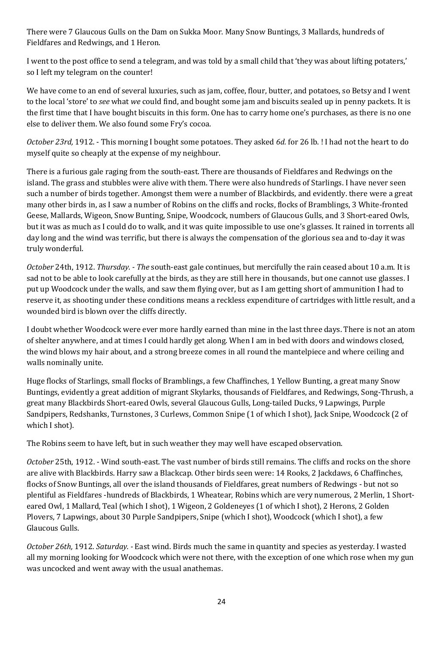There were 7 Glaucous Gulls on the Dam on Sukka Moor. Many Snow Buntings, 3 Mallards, hundreds of Fieldfares and Redwings, and 1 Heron.

I went to the post office to send a telegram, and was told by a small child that 'they was about lifting potaters,' so I left my telegram on the counter!

We have come to an end of several luxuries, such as jam, coffee, flour, butter, and potatoes, so Betsy and I went to the local 'store' to *see* what *we* could find, and bought some jam and biscuits sealed up in penny packets. It is the first time that I have bought biscuits in this form. One has to carry home one's purchases, as there is no one else to deliver them. We also found some Fry's cocoa.

*October 23rd,* 1912. - This morning I bought some potatoes. They asked *6d.* for 26 lb. ! I had not the heart to do myself quite so cheaply at the expense of my neighbour.

There is a furious gale raging from the south-east. There are thousands of Fieldfares and Redwings on the island. The grass and stubbles were alive with them. There were also hundreds of Starlings. I have never seen such a number of birds together. Amongst them were a number of Blackbirds, and evidently. there were a great many other birds in, as I saw a number of Robins on the cliffs and rocks, flocks of Bramblings, 3 White-fronted Geese, Mallards, Wigeon, Snow Bunting, Snipe, Woodcock, numbers of Glaucous Gulls, and 3 Short-eared Owls, but it was as much as I could do to walk, and it was quite impossible to use one's glasses. It rained in torrents all day long and the wind was terrific, but there is always the compensation of the glorious sea and to-day it was truly wonderful.

*October* 24th, 1912. *Thursday. - The* south-east gale continues, but mercifully the rain ceased about 10 a.m. It is sad not to be able to look carefully at the birds, as they are still here in thousands, but one cannot use glasses. I put up Woodcock under the walls, and saw them flying over, but as I am getting short of ammunition I had to reserve it, as shooting under these conditions means a reckless expenditure of cartridges with little result, and a wounded bird is blown over the cliffs directly.

I doubt whether Woodcock were ever more hardly earned than mine in the last three days. There is not an atom of shelter anywhere, and at times I could hardly get along. When I am in bed with doors and windows closed, the wind blows my hair about, and a strong breeze comes in all round the mantelpiece and where ceiling and walls nominally unite.

Huge flocks of Starlings, small flocks of Bramblings, a few Chaffinches, 1 Yellow Bunting, a great many Snow Buntings, evidently a great addition of migrant Skylarks, thousands of Fieldfares, and Redwings, Song-Thrush, a great many Blackbirds Short-eared Owls, several Glaucous Gulls, Long-tailed Ducks, 9 Lapwings, Purple Sandpipers, Redshanks, Turnstones, 3 Curlews, Common Snipe (1 of which I shot), Jack Snipe, Woodcock (2 of which I shot).

The Robins seem to have left, but in such weather they may well have escaped observation.

*October* 25th, 1912. - Wind south-east. The vast number of birds still remains. The cliffs and rocks on the shore are alive with Blackbirds. Harry saw a Blackcap. Other birds seen were: 14 Rooks, 2 Jackdaws, 6 Chaffinches, flocks of Snow Buntings, all over the island thousands of Fieldfares, great numbers of Redwings - but not so plentiful as Fieldfares -hundreds of Blackbirds, 1 Wheatear, Robins which are very numerous, 2 Merlin, 1 Shorteared Owl, 1 Mallard, Teal (which I shot), 1 Wigeon, 2 Goldeneyes (1 of which I shot), 2 Herons, 2 Golden Plovers, 7 Lapwings, about 30 Purple Sandpipers, Snipe (which I shot), Woodcock (which I shot), a few Glaucous Gulls.

*October 26th,* 1912. *Saturday. -* East wind. Birds much the same in quantity and species as yesterday. I wasted all my morning looking for Woodcock which were not there, with the exception of one which rose when my gun was uncocked and went away with the usual anathemas.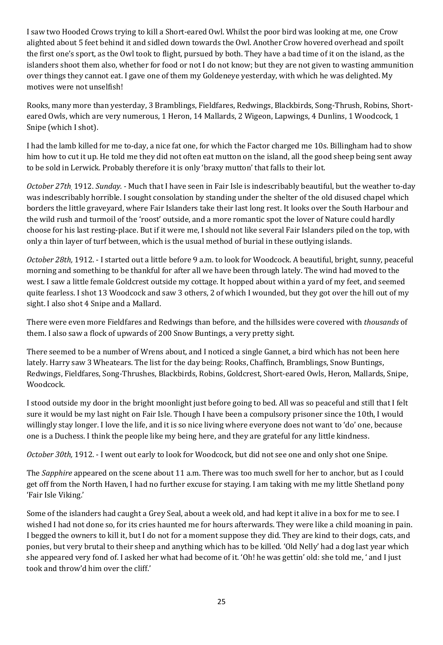I saw two Hooded Crows trying to kill a Short-eared Owl. Whilst the poor bird was looking at me, one Crow alighted about 5 feet behind it and sidled down towards the Owl. Another Crow hovered overhead and spoilt the first one's sport, as the Owl took to flight, pursued by both. They have a bad time of it on the island, as the islanders shoot them also, whether for food or not I do not know; but they are not given to wasting ammunition over things they cannot eat. I gave one of them my Goldeneye yesterday, with which he was delighted. My motives were not unselfish!

Rooks, many more than yesterday, 3 Bramblings, Fieldfares, Redwings, Blackbirds, Song-Thrush, Robins, Shorteared Owls, which are very numerous, 1 Heron, 14 Mallards, 2 Wigeon, Lapwings, 4 Dunlins, 1 Woodcock, 1 Snipe (which I shot).

I had the lamb killed for me to-day, a nice fat one, for which the Factor charged me 10s. Billingham had to show him how to cut it up. He told me they did not often eat mutton on the island, all the good sheep being sent away to be sold in Lerwick. Probably therefore it is only 'braxy mutton' that falls to their lot.

*October 27th,* 1912. *Sunday. -* Much that I have seen in Fair Isle is indescribably beautiful, but the weather to-day was indescribably horrible. I sought consolation by standing under the shelter of the old disused chapel which borders the little graveyard, where Fair Islanders take their last long rest. It looks over the South Harbour and the wild rush and turmoil of the 'roost' outside, and a more romantic spot the lover of Nature could hardly choose for his last resting-place. But if it were me, I should not like several Fair Islanders piled on the top, with only a thin layer of turf between, which is the usual method of burial in these outlying islands.

*October 28th,* 1912. - I started out a little before 9 a.m. to look for Woodcock. A beautiful, bright, sunny, peaceful morning and something to be thankful for after all we have been through lately. The wind had moved to the west. I saw a little female Goldcrest outside my cottage. It hopped about within a yard of my feet, and seemed quite fearless. I shot 13 Woodcock and saw 3 others, 2 of which I wounded, but they got over the hill out of my sight. I also shot 4 Snipe and a Mallard.

There were even more Fieldfares and Redwings than before, and the hillsides were covered with *thousands* of them. I also saw a flock of upwards of 200 Snow Buntings, a very pretty sight.

There seemed to be a number of Wrens about, and I noticed a single Gannet, a bird which has not been here lately. Harry saw 3 Wheatears. The list for the day being: Rooks, Chaffinch, Bramblings, Snow Buntings, Redwings, Fieldfares, Song-Thrushes, Blackbirds, Robins, Goldcrest, Short-eared Owls, Heron, Mallards, Snipe, Woodcock.

I stood outside my door in the bright moonlight just before going to bed. All was so peaceful and still that I felt sure it would be my last night on Fair Isle. Though I have been a compulsory prisoner since the 10th, I would willingly stay longer. I love the life, and it is so nice living where everyone does not want to 'do' one, because one is a Duchess. I think the people like my being here, and they are grateful for any little kindness.

*October 30th,* 1912. - I went out early to look for Woodcock, but did not see one and only shot one Snipe.

The *Sapphire* appeared on the scene about 11 a.m. There was too much swell for her to anchor, but as I could get off from the North Haven, I had no further excuse for staying. I am taking with me my little Shetland pony 'Fair Isle Viking.'

Some of the islanders had caught a Grey Seal, about a week old, and had kept it alive in a box for me to see. I wished I had not done so, for its cries haunted me for hours afterwards. They were like a child moaning in pain. I begged the owners to kill it, but I do not for a moment suppose they did. They are kind to their dogs, cats, and ponies, but very brutal to their sheep and anything which has to be killed. 'Old Nelly' had a dog last year which she appeared very fond of. I asked her what had become of it. 'Oh! he was gettin' old: she told me, ' and I just took and throw'd him over the cliff.'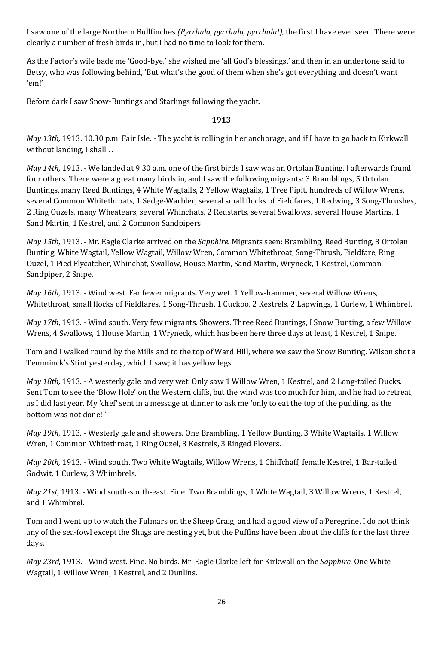I saw one of the large Northern Bullfinches *(Pyrrhula, pyrrhula, pyrrhula!),* the first I have ever seen. There were clearly a number of fresh birds in, but I had no time to look for them.

As the Factor's wife bade me 'Good-bye,' she wished me 'all God's blessings,' and then in an undertone said to Betsy, who was following behind, 'But what's the good of them when she's got everything and doesn't want 'em!'

Before dark I saw Snow-Buntings and Starlings following the yacht.

## **1913**

*May 13th,* 1913. 10.30 p.m. Fair Isle. - The yacht is rolling in her anchorage, and if I have to go back to Kirkwall without landing, I shall ...

*May 14th,* 1913. - We landed at 9.30 a.m. one of the first birds I saw was an Ortolan Bunting. I afterwards found four others. There were a great many birds in, and I saw the following migrants: 3 Bramblings, 5 Ortolan Buntings, many Reed Buntings, 4 White Wagtails, 2 Yellow Wagtails, 1 Tree Pipit, hundreds of Willow Wrens, several Common Whitethroats, 1 Sedge-Warbler, several small flocks of Fieldfares, 1 Redwing, 3 Song-Thrushes, 2 Ring Ouzels, many Wheatears, several Whinchats, 2 Redstarts, several Swallows, several House Martins, 1 Sand Martin, 1 Kestrel, and 2 Common Sandpipers.

*May 15th,* 1913. - Mr. Eagle Clarke arrived on the *Sapphire.* Migrants seen: Brambling, Reed Bunting, 3 Ortolan Bunting, White Wagtail, Yellow Wagtail, Willow Wren, Common Whitethroat, Song-Thrush, Fieldfare, Ring Ouzel, 1 Pied Flycatcher, Whinchat, Swallow, House Martin, Sand Martin, Wryneck, 1 Kestrel, Common Sandpiper, 2 Snipe.

*May 16th,* 1913. - Wind west. Far fewer migrants. Very wet. 1 Yellow-hammer, several Willow Wrens, Whitethroat, small flocks of Fieldfares, 1 Song-Thrush, 1 Cuckoo, 2 Kestrels, 2 Lapwings, 1 Curlew, 1 Whimbrel.

*May 17th,* 1913. - Wind south. Very few migrants. Showers. Three Reed Buntings, I Snow Bunting, a few Willow Wrens, 4 Swallows, 1 House Martin, 1 Wryneck, which has been here three days at least, 1 Kestrel, 1 Snipe.

Tom and I walked round by the Mills and to the top of Ward Hill, where we saw the Snow Bunting. Wilson shot a Temminck's Stint yesterday, which I saw; it has yellow legs.

*May 18th,* 1913. - A westerly gale and very wet. Only saw 1 Willow Wren, 1 Kestrel, and 2 Long-tailed Ducks. Sent Tom to see the 'Blow Hole' on the Western cliffs, but the wind was too much for him, and he had to retreat, as I did last year. My 'chef' sent in a message at dinner to ask me 'only to eat the top of the pudding, as the bottom was not done! '

*May 19th,* 1913. - Westerly gale and showers. One Brambling, 1 Yellow Bunting, 3 White Wagtails, 1 Willow Wren, 1 Common Whitethroat, 1 Ring Ouzel, 3 Kestrels, 3 Ringed Plovers.

*May 20th,* 1913. - Wind south. Two White Wagtails, Willow Wrens, 1 Chiffchaff, female Kestrel, 1 Bar-tailed Godwit, 1 Curlew, 3 Whimbrels.

*May 21st,* 1913. - Wind south-south-east. Fine. Two Bramblings, 1 White Wagtail, 3 Willow Wrens, 1 Kestrel, and 1 Whimbrel.

Tom and I went up to watch the Fulmars on the Sheep Craig, and had a good view of a Peregrine. I do not think any of the sea-fowl except the Shags are nesting yet, but the Puffins have been about the cliffs for the last three days.

*May 23rd,* 1913. - Wind west. Fine. No birds. Mr. Eagle Clarke left for Kirkwall on the *Sapphire.* One White Wagtail, 1 Willow Wren, 1 Kestrel, and 2 Dunlins.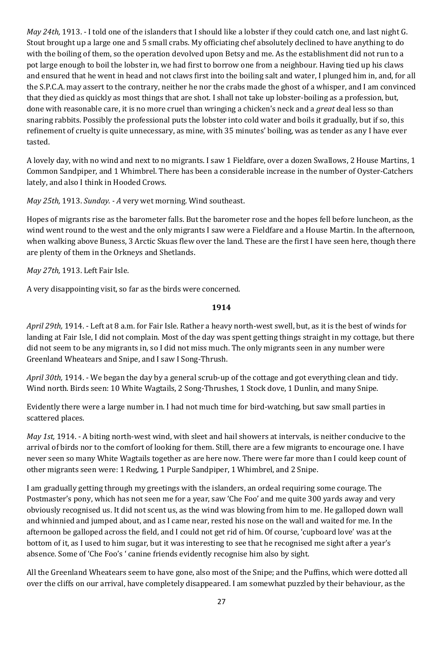*May 24th,* 1913. - I told one of the islanders that I should like a lobster if they could catch one, and last night G. Stout brought up a large one and 5 small crabs. My officiating chef absolutely declined to have anything to do with the boiling of them, so the operation devolved upon Betsy and me. As the establishment did not run to a pot large enough to boil the lobster in, we had first to borrow one from a neighbour. Having tied up his claws and ensured that he went in head and not claws first into the boiling salt and water, I plunged him in, and, for all the S.P.C.A. may assert to the contrary, neither he nor the crabs made the ghost of a whisper, and I am convinced that they died as quickly as most things that are shot. I shall not take up lobster-boiling as a profession, but, done with reasonable care, it is no more cruel than wringing a chicken's neck and a *great* deal less so than snaring rabbits. Possibly the professional puts the lobster into cold water and boils it gradually, but if so, this refinement of cruelty is quite unnecessary, as mine, with 35 minutes' boiling, was as tender as any I have ever tasted.

A lovely day, with no wind and next to no migrants. I saw 1 Fieldfare, over a dozen Swallows, 2 House Martins, 1 Common Sandpiper, and 1 Whimbrel. There has been a considerable increase in the number of Oyster-Catchers lately, and also I think in Hooded Crows.

*May 25th,* 1913. *Sunday. - A* very wet morning. Wind southeast.

Hopes of migrants rise as the barometer falls. But the barometer rose and the hopes fell before luncheon, as the wind went round to the west and the only migrants I saw were a Fieldfare and a House Martin. In the afternoon, when walking above Buness, 3 Arctic Skuas flew over the land. These are the first I have seen here, though there are plenty of them in the Orkneys and Shetlands.

*May 27th,* 1913. Left Fair Isle.

A very disappointing visit, so far as the birds were concerned.

## **1914**

*April 29th,* 1914. - Left at 8 a.m. for Fair Isle. Rather a heavy north-west swell, but, as it is the best of winds for landing at Fair Isle, I did not complain. Most of the day was spent getting things straight in my cottage, but there did not seem to be any migrants in, so I did not miss much. The only migrants seen in any number were Greenland Wheatears and Snipe, and I saw I Song-Thrush.

*April 30th,* 1914. - We began the day by a general scrub-up of the cottage and got everything clean and tidy. Wind north. Birds seen: 10 White Wagtails, 2 Song-Thrushes, 1 Stock dove, 1 Dunlin, and many Snipe.

Evidently there were a large number in. I had not much time for bird-watching, but saw small parties in scattered places.

*May 1st,* 1914. - A biting north-west wind, with sleet and hail showers at intervals, is neither conducive to the arrival of birds nor to the comfort of looking for them. Still, there are a few migrants to encourage one. I have never seen so many White Wagtails together as are here now. There were far more than I could keep count of other migrants seen were: 1 Redwing, 1 Purple Sandpiper, 1 Whimbrel, and 2 Snipe.

I am gradually getting through my greetings with the islanders, an ordeal requiring some courage. The Postmaster's pony, which has not seen me for a year, saw 'Che Foo' and me quite 300 yards away and very obviously recognised us. It did not scent us, as the wind was blowing from him to me. He galloped down wall and whinnied and jumped about, and as I came near, rested his nose on the wall and waited for me. In the afternoon be galloped across the field, and I could not get rid of him. Of course, 'cupboard love' was at the bottom of it, as I used to him sugar, but it was interesting to see that he recognised me sight after a year's absence. Some of 'Che Foo's ' canine friends evidently recognise him also by sight.

All the Greenland Wheatears seem to have gone, also most of the Snipe; and the Puffins, which were dotted all over the cliffs on our arrival, have completely disappeared. I am somewhat puzzled by their behaviour, as the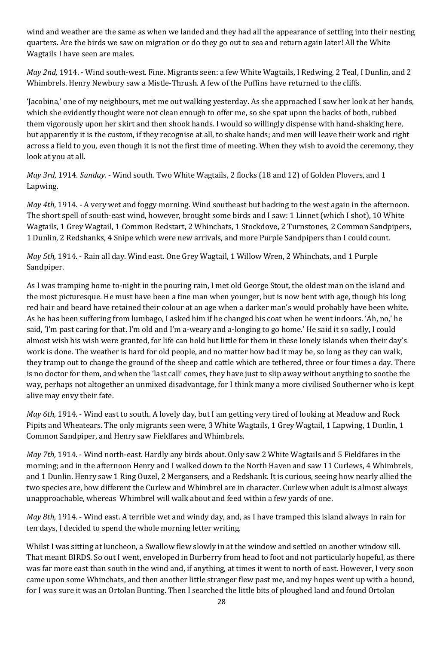wind and weather are the same as when we landed and they had all the appearance of settling into their nesting quarters. Are the birds we saw on migration or do they go out to sea and return again later! All the White Wagtails I have seen are males.

*May 2nd,* 1914. - Wind south-west. Fine. Migrants seen: a few White Wagtails, I Redwing, 2 Teal, I Dunlin, and 2 Whimbrels. Henry Newbury saw a Mistle-Thrush. A few of the Puffins have returned to the cliffs.

'Jacobina,' one of my neighbours, met me out walking yesterday. As she approached I saw her look at her hands, which she evidently thought were not clean enough to offer me, so she spat upon the backs of both, rubbed them vigorously upon her skirt and then shook hands. I would so willingly dispense with hand-shaking here, but apparently it is the custom, if they recognise at all, to shake hands; and men will leave their work and right across a field to you, even though it is not the first time of meeting. When they wish to avoid the ceremony, they look at you at all.

*May 3rd,* 1914. *Sunday. -* Wind south. Two White Wagtails, 2 flocks (18 and 12) of Golden Plovers, and 1 Lapwing.

*May 4th,* 1914. - A very wet and foggy morning. Wind southeast but backing to the west again in the afternoon. The short spell of south-east wind, however, brought some birds and I saw: 1 Linnet (which I shot), 10 White Wagtails, 1 Grey Wagtail, 1 Common Redstart, 2 Whinchats, 1 Stockdove, 2 Turnstones, 2 Common Sandpipers, 1 Dunlin, 2 Redshanks, 4 Snipe which were new arrivals, and more Purple Sandpipers than I could count.

*May 5th,* 1914. - Rain all day. Wind east. One Grey Wagtail, 1 Willow Wren, 2 Whinchats, and 1 Purple Sandpiper.

As I was tramping home to-night in the pouring rain, I met old George Stout, the oldest man on the island and the most picturesque. He must have been a fine man when younger, but is now bent with age, though his long red hair and beard have retained their colour at an age when a darker man's would probably have been white. As he has been suffering from lumbago, I asked him if he changed his coat when he went indoors. 'Ah, no,' he said, 'I'm past caring for that. I'm old and I'm a-weary and a-longing to go home.' He said it so sadly, I could almost wish his wish were granted, for life can hold but little for them in these lonely islands when their day's work is done. The weather is hard for old people, and no matter how bad it may be, so long as they can walk, they tramp out to change the ground of the sheep and cattle which are tethered, three or four times a day. There is no doctor for them, and when the 'last call' comes, they have just to slip away without anything to soothe the way, perhaps not altogether an unmixed disadvantage, for I think many a more civilised Southerner who is kept alive may envy their fate.

*May 6th,* 1914. - Wind east to south. A lovely day, but I am getting very tired of looking at Meadow and Rock Pipits and Wheatears. The only migrants seen were, 3 White Wagtails, 1 Grey Wagtail, 1 Lapwing, 1 Dunlin, 1 Common Sandpiper, and Henry saw Fieldfares and Whimbrels.

*May 7th,* 1914. - Wind north-east. Hardly any birds about. Only saw 2 White Wagtails and 5 Fieldfares in the morning; and in the afternoon Henry and I walked down to the North Haven and saw 11 Curlews, 4 Whimbrels, and 1 Dunlin. Henry saw 1 Ring Ouzel, 2 Mergansers, and a Redshank. It is curious, seeing how nearly allied the two species are, how different the Curlew and Whimbrel are in character. Curlew when adult is almost always unapproachable, whereas Whimbrel will walk about and feed within a few yards of one.

*May 8th,* 1914. - Wind east. A terrible wet and windy day, and, as I have tramped this island always in rain for ten days, I decided to spend the whole morning letter writing.

Whilst I was sitting at luncheon, a Swallow flew slowly in at the window and settled on another window sill. That meant BIRDS. So out I went, enveloped in Burberry from head to foot and not particularly hopeful, as there was far more east than south in the wind and, if anything, at times it went to north of east. However, I very soon came upon some Whinchats, and then another little stranger flew past me, and my hopes went up with a bound, for I was sure it was an Ortolan Bunting. Then I searched the little bits of ploughed land and found Ortolan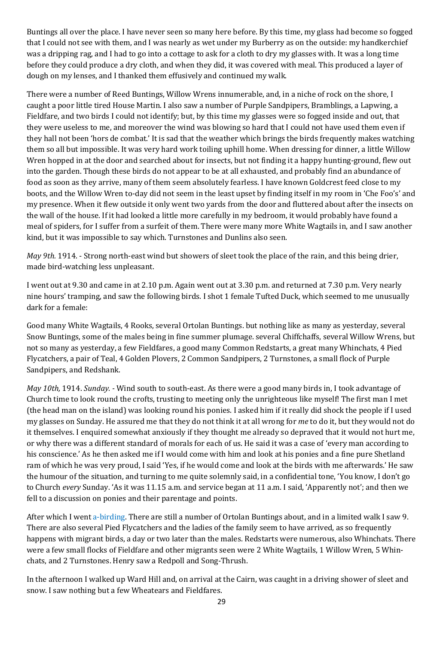Buntings all over the place. I have never seen so many here before. By this time, my glass had become so fogged that I could not see with them, and I was nearly as wet under my Burberry as on the outside: my handkerchief was a dripping rag, and I had to go into a cottage to ask for a cloth to dry my glasses with. It was a long time before they could produce a dry cloth, and when they did, it was covered with meal. This produced a layer of dough on my lenses, and I thanked them effusively and continued my walk.

There were a number of Reed Buntings, Willow Wrens innumerable, and, in a niche of rock on the shore, I caught a poor little tired House Martin. I also saw a number of Purple Sandpipers, Bramblings, a Lapwing, a Fieldfare, and two birds I could not identify; but, by this time my glasses were so fogged inside and out, that they were useless to me, and moreover the wind was blowing so hard that I could not have used them even if they hall not been 'hors de combat.' It is sad that the weather which brings the birds frequently makes watching them so all but impossible. It was very hard work toiling uphill home. When dressing for dinner, a little Willow Wren hopped in at the door and searched about for insects, but not finding it a happy hunting-ground, flew out into the garden. Though these birds do not appear to be at all exhausted, and probably find an abundance of food as soon as they arrive, many of them seem absolutely fearless. I have known Goldcrest feed close to my boots, and the Willow Wren to-day did not seem in the least upset by finding itself in my room in 'Che Foo's' and my presence. When it flew outside it only went two yards from the door and fluttered about after the insects on the wall of the house. If it had looked a little more carefully in my bedroom, it would probably have found a meal of spiders, for I suffer from a surfeit of them. There were many more White Wagtails in, and I saw another kind, but it was impossible to say which. Turnstones and Dunlins also seen.

*May 9th.* 1914. - Strong north-east wind but showers of sleet took the place of the rain, and this being drier, made bird-watching less unpleasant.

I went out at 9.30 and came in at 2.10 p.m. Again went out at 3.30 p.m. and returned at 7.30 p.m. Very nearly nine hours' tramping, and saw the following birds. I shot 1 female Tufted Duck, which seemed to me unusually dark for a female:

Good many White Wagtails, 4 Rooks, several Ortolan Buntings. but nothing like as many as yesterday, several Snow Buntings, some of the males being in fine summer plumage. several Chiffchaffs, several Willow Wrens, but not so many as yesterday, a few Fieldfares, a good many Common Redstarts, a great many Whinchats, 4 Pied Flycatchers, a pair of Teal, 4 Golden Plovers, 2 Common Sandpipers, 2 Turnstones, a small flock of Purple Sandpipers, and Redshank.

*May 10th,* 1914. *Sunday. -* Wind south to south-east. As there were a good many birds in, I took advantage of Church time to look round the crofts, trusting to meeting only the unrighteous like myself! The first man I met (the head man on the island) was looking round his ponies. I asked him if it really did shock the people if I used my glasses on Sunday. He assured me that they do not think it at all wrong for *me* to do it, but they would not do it themselves. I enquired somewhat anxiously if they thought me already so depraved that it would not hurt me, or why there was a different standard of morals for each of us. He said it was a case of 'every man according to his conscience.' As he then asked me if I would come with him and look at his ponies and a fine pure Shetland ram of which he was very proud, I said 'Yes, if he would come and look at the birds with me afterwards.' He saw the humour of the situation, and turning to me quite solemnly said, in a confidential tone, 'You know, I don't go to Church *every* Sunday. 'As it was 11.15 a.m. and service began at 11 a.m. I said, 'Apparently not'; and then we fell to a discussion on ponies and their parentage and points.

After which I went a-birding. There are still a number of Ortolan Buntings about, and in a limited walk I saw 9. There are also several Pied Flycatchers and the ladies of the family seem to have arrived, as so frequently happens with migrant birds, a day or two later than the males. Redstarts were numerous, also Whinchats. There were a few small flocks of Fieldfare and other migrants seen were 2 White Wagtails, 1 Willow Wren, 5 Whinchats, and 2 Turnstones. Henry saw a Redpoll and Song-Thrush.

In the afternoon I walked up Ward Hill and, on arrival at the Cairn, was caught in a driving shower of sleet and snow. I saw nothing but a few Wheatears and Fieldfares.